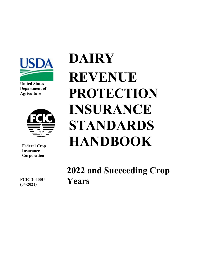

**United States Department of Agriculture**



**Federal Crop Insurance Corporation** 

**DAIRY REVENUE PROTECTION INSURANCE STANDARDS HANDBOOK**

**2022 and Succeeding Crop Years**

**FCIC 20400U (04-2021)**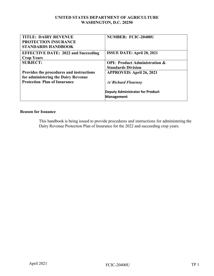#### **UNITED STATES DEPARTMENT OF AGRICULTURE WASHINGTON, D.C. 20250**

| <b>TITLE: DAIRY REVENUE</b><br><b>PROTECTION INSURANCE</b><br><b>STANDARDS HANDBOOK</b> | <b>NUMBER: FCIC-20400U</b>                                            |
|-----------------------------------------------------------------------------------------|-----------------------------------------------------------------------|
| <b>EFFECTIVE DATE: 2022 and Succeeding</b><br><b>Crop Years</b>                         | <b>ISSUE DATE: April 28, 2021</b>                                     |
| <b>SUBJECT:</b>                                                                         | <b>OPI: Product Administration &amp;</b><br><b>Standards Division</b> |
| Provides the procedures and instructions<br>for administering the Dairy Revenue         | <b>APPROVED: April 26, 2021</b>                                       |
| <b>Protection Plan of Insurance</b>                                                     | /s/ Richard Flournoy                                                  |
|                                                                                         | <b>Deputy Administrator for Product</b><br>Management                 |

#### **Reason for Issuance**

This handbook is being issued to provide procedures and instructions for administering the Dairy Revenue Protection Plan of Insurance for the 2022 and succeeding crop years.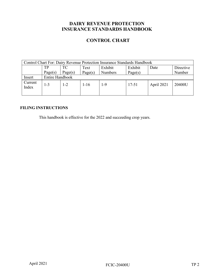# **DAIRY REVENUE PROTECTION INSURANCE STANDARDS HANDBOOK**

## **CONTROL CHART**

| <b>Control Chart For: Dairy Revenue Protection Insurance Standards Handbook</b> |                        |                                                       |          |                |           |            |        |  |  |
|---------------------------------------------------------------------------------|------------------------|-------------------------------------------------------|----------|----------------|-----------|------------|--------|--|--|
|                                                                                 | TP                     | TС<br>Exhibit<br>Exhibit<br>Directive<br>Text<br>Date |          |                |           |            |        |  |  |
|                                                                                 | Page(s)                | Page(s)                                               | Page(s)  | <b>Numbers</b> | Page(s)   |            | Number |  |  |
| Insert                                                                          | <b>Entire Handbook</b> |                                                       |          |                |           |            |        |  |  |
| Current<br>Index                                                                | $1 - 3$                | 1-2                                                   | $1 - 16$ | 1-9            | $17 - 51$ | April 2021 | 20400U |  |  |

## **FILING INSTRUCTIONS**

This handbook is effective for the 2022 and succeeding crop years.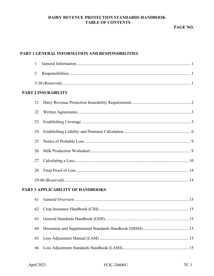## DAIRY REVENUE PROTECTION STANDARDS HANDBOOK **TABLE OF CONTENTS**

## PART 1 GENERAL INFORMATION AND RESPONSIBILITIES

| 1              |                                   |
|----------------|-----------------------------------|
| $\overline{2}$ |                                   |
|                |                                   |
|                | <b>PART 2 INSURABILITY</b>        |
| 21             |                                   |
| 22             |                                   |
| 23             |                                   |
| 24             |                                   |
| 25             |                                   |
| 26             |                                   |
| 27             |                                   |
| 28             |                                   |
|                |                                   |
|                | PART 3 APPLICABILITY OF HANDBOOKS |
| 61             |                                   |
| 62             |                                   |
| 63             |                                   |
| 64             |                                   |
| 65             |                                   |
| 66             |                                   |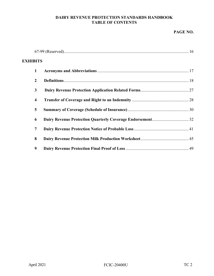#### **DAIRY REVENUE PROTECTION STANDARDS HANDBOOK TABLE OF CONTENTS**

### **PAGE NO.**

| <b>EXHIBITS</b>         |  |
|-------------------------|--|
| $\mathbf{1}$            |  |
| $\overline{2}$          |  |
| 3                       |  |
| $\overline{\mathbf{4}}$ |  |
| 5                       |  |
| 6                       |  |
| 7                       |  |
| 8                       |  |
| 9                       |  |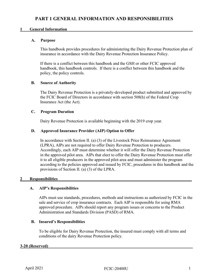#### <span id="page-6-0"></span>**1** General Information

#### **A. Purpose**

This handbook provides procedures for administering the Dairy Revenue Protection plan of insurance in accordance with the Dairy Revenue Protection Insurance Policy.

If there is a conflict between this handbook and the GSH or other FCIC approved handbook, this handbook controls. If there is a conflict between this handbook and the policy, the policy controls.

#### **B. Source of Authority**

The Dairy Revenue Protection is a privately-developed product submitted and approved by the FCIC Board of Directors in accordance with section 508(h) of the Federal Crop Insurance Act (the Act).

#### **C. Program Duration**

Dairy Revenue Protection is available beginning with the 2019 crop year.

#### **D. Approved Insurance Provider (AIP) Option to Offer**

In accordance with Section II. (a) (3) of the Livestock Price Reinsurance Agreement (LPRA), AIPs are not required to offer Dairy Revenue Protection to producers. Accordingly, each AIP must determine whether it will offer the Dairy Revenue Protection in the approved pilot area. AIPs that elect to offer the Dairy Revenue Protection must offer it to all eligible producers in the approved pilot area and must administer the program according to the policies approved and issued by FCIC, procedures in this handbook and the provisions of Section II. (a) (3) of the LPRA.

#### <span id="page-6-1"></span>2 Responsibilities

#### **A. AIP's Responsibilities**

AIPs must use standards, procedures, methods and instructions as authorized by FCIC in the sale and service of crop insurance contracts. Each AIP is responsible for using RMA approved procedure. AIPs should report any program issues or concerns to the Product Administration and Standards Division (PASD) of RMA.

#### **B. Insured's Responsibilities**

To be eligible for Dairy Revenue Protection, the insured must comply with all terms and conditions of the dairy Revenue Protection policy.

#### <span id="page-6-2"></span>**3-20 (Reserved)\_\_\_\_\_\_\_\_\_\_\_\_\_\_\_\_\_\_\_\_\_\_\_\_\_\_\_\_\_\_\_\_\_\_\_\_\_\_\_\_\_\_\_\_\_\_\_\_\_\_\_\_\_\_\_\_\_\_\_\_\_\_\_\_\_\_\_\_\_**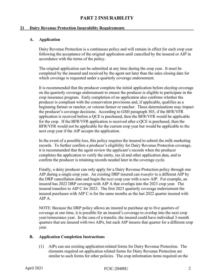# **PART 2 INSURABILITY**

#### <span id="page-7-1"></span><span id="page-7-0"></span>21 Dairy Revenue Protection Insurability Requirements

#### **A. Application**

Dairy Revenue Protection is a continuous policy and will remain in effect for each crop year following the acceptance of the original application until cancelled by the insured or AIP in accordance with the terms of the policy.

The original application can be submitted at any time during the crop year. It must be completed by the insured and received by the agent not later than the sales closing date for which coverage is requested under a quarterly coverage endorsement.

It is recommended that the producer complete the initial application before electing coverage on the quarterly coverage endorsement to ensure the producer is eligible to participate in the crop insurance program. Early completion of an application also confirms whether the producer is compliant with the conservation provisions and, if applicable, qualifies as a beginning farmer or rancher, or veteran farmer or rancher. These determinations may impact the producer's coverage decisions. According to GSH paragraph 303, if the BFR/VFR application is received before a QCE is purchased, then the BFR/VFR would be applicable for the crop. If the BFR/VFR application is received after a QCE is purchased, then the BFR/VFR would not be applicable for the current crop year but would be applicable to the next crop year if the AIP accepts the application.

In the event of a possible loss, this policy requires the insured to submit the milk marketing records. To further confirm a producer's eligibility for Dairy Revenue Protection coverage, it is recommended that the agent review the applicant's records when the producer completes the application to verify the entity, tax id and other application data, and to confirm the producer is retaining records needed later in the coverage cycle.

Finally, a dairy producer can only apply for a Dairy Revenue Protection policy through one AIP during a single crop year. An existing DRP insured can *transfer* to a different AIP by the DRP cancellation date and begin the *next* crop year with a new AIP. For example, an insured has 2022 DRP coverage with AIP A that overlaps into the 2023 crop year. The insured transfers to AIP C for 2023. The first 2023 quarterly coverage endorsement the insured purchases with AIP C is for the same months as the last 2022 quarter insured with AIP A.

NOTE: Because the DRP policy allows an insured to purchase up to five quarters of coverage at one time, it is possible for an insured's coverage to overlap into the next crop year/reinsurance year. In the case of a transfer, the insured could have individual 3-month quarters that are insured with two AIPs, but each AIP insures that quarter for a different crop year.

#### **B. Application Completion Instructions**

(1) AIPs can use existing application-related forms for Dairy Revenue Protection. The elements required on application related forms for Dairy Revenue Protection are similar to such forms for other policies. The crop information items required on the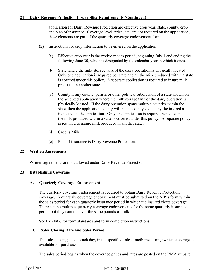application for Dairy Revenue Protection are effective crop year, state, county, crop and plan of insurance. Coverage level, price, etc. are not required on the application; these elements are part of the quarterly coverage endorsement form.

- (2) Instructions for crop information to be entered on the application:
	- (a) Effective crop year is the twelve-month period, beginning July 1 and ending the following June 30, which is designated by the calendar year in which it ends.
	- (b) State where the milk storage tank of the dairy operation is physically located. Only one application is required per state and all the milk produced within a state is covered under this policy. A separate application is required to insure milk produced in another state.
	- (c) County is any county, parish, or other political subdivision of a state shown on the accepted application where the milk storage tank of the dairy operation is physically located. If the dairy operation spans multiple counties within the state, then the application county will be the county elected by the insured as indicated on the application. Only one application is required per state and all the milk produced within a state is covered under this policy. A separate policy is required to insure milk produced in another state.
	- (d) Crop is Milk.
	- (e) Plan of insurance is Dairy Revenue Protection.

#### <span id="page-8-0"></span>22 Written Agreements

Written agreements are not allowed under Dairy Revenue Protection.

#### <span id="page-8-1"></span>23 Establishing Coverage

#### **A. Quarterly Coverage Endorsement**

The quarterly coverage endorsement is required to obtain Dairy Revenue Protection coverage. A quarterly coverage endorsement must be submitted on the AIP's form within the sales period for each quarterly insurance period in which the insured elects coverage. There can be multiple quarterly coverage endorsements for the same quarterly insurance period but they cannot cover the same pounds of milk.

See Exhibit 6 for form standards and form completion instructions.

#### **B. Sales Closing Date and Sales Period**

The sales closing date is each day, in the specified sales timeframe, during which coverage is available for purchase.

The sales period begins when the coverage prices and rates are posted on the RMA website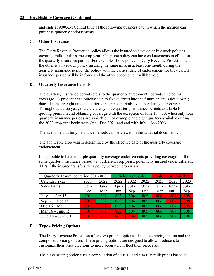#### **23 Establishing Coverage (Continued)\_\_\_\_\_\_\_\_\_\_\_\_\_\_\_\_\_\_\_\_\_\_\_\_\_\_\_\_\_\_\_\_\_\_\_\_\_\_\_\_\_\_\_\_\_\_\_\_**

and ends at 9:00AM Central time of the following business day in which the insured can purchase quarterly endorsements.

#### **C. Other Insurance**

The Dairy Revenue Protection policy allows the insured to have other livestock policies covering milk for the same crop year. Only one policy can have endorsements in effect for the quarterly insurance period. For example, if one policy is Dairy Revenue Protection and the other is a livestock policy insuring the same milk in at least one month during the quarterly insurance period, the policy with the earliest date of endorsement for the quarterly insurance period will be in force and the other endorsement will be void.

#### **D. Quarterly Insurance Periods**

The quarterly insurance period refers to the quarter or three-month period selected for coverage. A producer can purchase up to five quarters into the future on any sales closing date. There are eight unique quarterly insurance periods available during a crop year. Throughout a crop year, there are always five quarterly insurance periods available for quoting premium and obtaining coverage with the exception of June  $16 - 30$ , when only four quarterly insurance periods are available. For example, the eight quarters available during the 2022 crop year begin with Oct – Dec 2021 and end with July – Sep 2023.

The available quarterly insurance periods can be viewed in the actuarial documents.

The applicable crop year is determined by the effective date of the quarterly coverage endorsement.

It is possible to have multiple quarterly coverage endorsements providing coverage for the same quarterly insurance period with different crop years, potentially insured under different AIPs if the insured transfers their policy between crop years.

| Quarterly Insurance Period 801 - 808 |         |       |         | Sales Available |         |       | <b>Sales Not Available</b> |         |
|--------------------------------------|---------|-------|---------|-----------------|---------|-------|----------------------------|---------|
| Calendar Year                        | 2021    | 2022  | 2022    | 2022            | 2022    | 2023  | 2023                       | 2023    |
| <b>Sales Dates</b>                   | $Oct -$ | Jan - | Apr $-$ | $Jul -$         | $Oct -$ | Jan - | Apr -                      | $Jul -$ |
|                                      | Dec     | Mar   | Jun     | Sep             | Dec     | Mar   | Jun                        | Sep     |
| July $1 -$ Sep 15                    | 801     | 802   | 803     | 804             | 805     | 806   | 807                        | 808     |
| Sep $16 - Dec 15$                    | 801     | 802   | 803     | 804             | 805     | 806   | 807                        | 808     |
| Dec $16 - \text{Mar } 15$            | 801     | 802   | 803     | 804             | 805     | 806   | 807                        | 808     |
| Mar $16 -$ June 15                   | 801     | 802   | 803     | 804             | 805     | 806   | 807                        | 808     |
| June $16 -$ June 30                  | 801     | 802   | 803     | 804             | 805     | 806   | 807                        | 808     |

## **E. Type - Pricing Options**

The Dairy Revenue Protection offers two pricing options. The class pricing option and the component pricing option. These pricing options are designed to allow producers to customize their price elections to more accurately reflect their price risk.

The class pricing option uses a combination of class III and class IV milk prices based on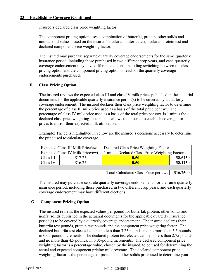insured's declared class price weighting factor.

The component pricing option uses a combination of butterfat, protein, other solids and nonfat solid values based on the insured's declared butterfat test, declared protein test and declared component price weighting factor.

The insured may purchase separate quarterly coverage endorsements for the same quarterly insurance period, including those purchased in two different crop years, and each quarterly coverage endorsement may have different elections, including switching between the class pricing option and the component pricing option on each of the quarterly coverage endorsements purchased.

#### **F. Class Pricing Option**

The insured reviews the expected class III and class IV milk prices published in the actuarial documents for the applicable quarterly insurance period(s) to be covered by a quarterly coverage endorsement. The insured declares their class price weighting factor to determine the percentage of class III milk price used as a basis of the total price per cwt. The percentage of class IV milk price used as a basis of the total price per cwt is 1 minus the declared class price weighting factor. This allows the insured to establish coverage for prices to mirror their expected milk utilization.

Example: The cells highlighted in yellow are the insured's decisions necessary to determine the price used to calculate coverage.

|           | Expected Class III Milk Price/cwt       | Declared Class Price Weighting Factor         |           |  |
|-----------|-----------------------------------------|-----------------------------------------------|-----------|--|
|           | <b>Expected Class IV Milk Price/cwt</b> | 1 minus Declared Class Price Weighting Factor |           |  |
| Class III | \$17.25                                 | 0.50                                          | \$8.6250  |  |
| Class IV  | \$16.25                                 | \$8.1250<br>0.50                              |           |  |
|           |                                         |                                               |           |  |
|           |                                         | Total Calculated Class Price per cwt          | \$16.7500 |  |

 The insured may purchase separate quarterly coverage endorsements for the same quarterly insurance period, including those purchased in two different crop years, and each quarterly coverage endorsement may have different elections.

#### **G. Component Pricing Option**

The insured reviews the expected values per pound for butterfat, protein, other solids and nonfat solids published in the actuarial documents for the applicable quarterly insurance period(s) to be covered by a quarterly coverage endorsement. The insured declares their butterfat test pounds, protein test pounds and the component price weighting factor. The declared butterfat test elected can be no less than 3.25 pounds and no more than 5.5 pounds, in 0.05-pound increments. The declared protein test elected can be no less than 2.75 pounds and no more than 4.5 pounds, in 0.05-pound increments. The declared component price weighting factor is a percentage value, chosen by the insured, to be used for determining the actual and expected component pricing milk revenue. The declared component price weighting factor is the percentage of protein and other solids price used to determine your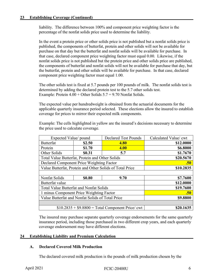liability. The difference between 100% and component price weighting factor is the percentage of the nonfat solids price used to determine the liability.

In the event a protein price or other solids price is not published but a nonfat solids price is published, the components of butterfat, protein and other solids will not be available for purchase on that day but the butterfat and nonfat solids will be available for purchase. In that case, declared component price weighting factor must equal 0.00. Likewise, if the nonfat solids price is not published but the protein price and other solids price are published, the components of butterfat and nonfat solids will not be available for purchase that day, but the butterfat, protein and other solids will be available for purchase. In that case, declared component price weighting factor must equal 1.00.

The other solids test is fixed at 5.7 pounds per 100 pounds of milk. The nonfat solids test is determined by adding the declared protein test to the 5.7 other solids test. Example: Protein  $4.00 +$ Other Solids  $5.7 = 9.70$  Nonfat Solids.

The expected value per hundredweight is obtained from the actuarial documents for the applicable quarterly insurance period selected. These elections allow the insured to establish coverage for prices to mirror their expected milk components.

 Example: The cells highlighted in yellow are the insured's decisions necessary to determine the price used to calculate coverage.

| Expected Value/ pound                            |           | <b>Declared Test Pounds</b>                              | Calculated Value/ cwt |  |  |  |
|--------------------------------------------------|-----------|----------------------------------------------------------|-----------------------|--|--|--|
| <b>Butterfat</b>                                 | \$2.50    | 4.80                                                     | \$12.0000             |  |  |  |
| Protein                                          | \$1.70    | 4.00                                                     | \$6.8000              |  |  |  |
| Other Solids                                     | \$0.31    | 5.7                                                      | \$1.7670              |  |  |  |
| Total Value Butterfat, Protein and Other Solids  |           |                                                          | \$20.5670             |  |  |  |
| Declared Component Price Weighting Factor        |           |                                                          | .50                   |  |  |  |
|                                                  |           | Value Butterfat, Protein and Other Solids of Total Price | \$10.2835             |  |  |  |
|                                                  |           |                                                          |                       |  |  |  |
| Nonfat Solids                                    | \$0.80    | 9.70                                                     | \$7.7600              |  |  |  |
| Butterfat value                                  | \$12.0000 |                                                          |                       |  |  |  |
| <b>Total Value Butterfat and Nonfat Solids</b>   |           |                                                          | \$19.7600             |  |  |  |
| 1 minus Component Price Weighting Factor         |           |                                                          | .50                   |  |  |  |
| Value Butterfat and Nonfat Solids of Total Price |           |                                                          | \$9.8800              |  |  |  |
|                                                  |           |                                                          |                       |  |  |  |
| $$10.2835 + $9.8800 = Total Component Price/cwt$ |           |                                                          | \$20.1635             |  |  |  |

 The insured may purchase separate quarterly coverage endorsements for the same quarterly insurance period, including those purchased in two different crop years, and each quarterly coverage endorsement may have different elections.

#### <span id="page-11-0"></span>**24 Establishing Liability and Premium Calculation \_\_\_\_\_\_\_\_\_\_\_\_\_\_\_\_\_\_\_**

#### **A. Declared Covered Milk Production**

The declared covered milk production is the pounds of milk production chosen by the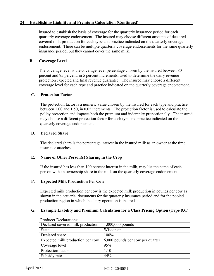#### 24 Establishing Liability and Premium Calculation (Continued)

insured to establish the basis of coverage for the quarterly insurance period for each quarterly coverage endorsement. The insured may choose different amounts of declared covered milk production for each type and practice indicated on the quarterly coverage endorsement. There can be multiple quarterly coverage endorsements for the same quarterly insurance period, but they cannot cover the same milk.

#### **B. Coverage Level**

The coverage level is the coverage level percentage chosen by the insured between 80 percent and 95 percent, in 5 percent increments, used to determine the dairy revenue protection expected and final revenue guarantee. The insured may choose a different coverage level for each type and practice indicated on the quarterly coverage endorsement.

#### **C. Protection Factor**

The protection factor is a numeric value chosen by the insured for each type and practice between 1.00 and 1.50, in 0.05 increments. The protection factor is used to calculate the policy protection and impacts both the premium and indemnity proportionally. The insured may choose a different protection factor for each type and practice indicated on the quarterly coverage endorsement.

#### **D. Declared Share**

The declared share is the percentage interest in the insured milk as an owner at the time insurance attaches.

#### **E. Name of Other Person(s) Sharing in the Crop**

If the insured has less than 100 percent interest in the milk, may list the name of each person with an ownership share in the milk on the quarterly coverage endorsement.

#### **F. Expected Milk Production Per Cow**

Expected milk production per cow is the expected milk production in pounds per cow as shown in the actuarial documents for the quarterly insurance period and for the pooled production region in which the dairy operation is insured.

#### **G. Example Liability and Premium Calculation for a Class Pricing Option (Type 831)**

| Producer Declarations:           |                                  |
|----------------------------------|----------------------------------|
| Declared covered milk production | $1,000,000$ pounds               |
| <b>State</b>                     | Wisconsin                        |
| Declared share                   | 100%                             |
| Expected milk production per cow | 6,000 pounds per cow per quarter |
| Coverage level                   | 95%                              |
| Protection factor                | 1.10                             |
| Subsidy rate                     | 44%                              |

Producer Declarations: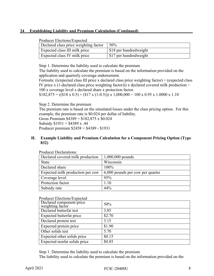#### 24 Establishing Liability and Premium Calculation (Continued)

| Declared class price weighting factor | 50%                    |
|---------------------------------------|------------------------|
| Expected class III milk price         | \$18 per hundredweight |
| Expected class IV milk price          | \$17 per hundredweight |

Step 1. Determine the liability used to calculate the premium

The liability used to calculate the premium is based on the information provided on the application and quarterly coverage endorsement.

Formula: ((expected class III price x declared class price weighting factor) + (expected class IV price x (1-declared class price weighting factor)) x declared covered milk production  $\div$ 100 x coverage level x declared share x protection factor.

 $$182,875 = ((\$18 \times 0.5) + (\$17 \times (1-0.5))) \times 1,000,000 \div 100 \times 0.95 \times 1.0000 \times 1.10$ 

Step 2. Determine the premium

The premium rate is based on the simulated losses under the class pricing option. For this example, the premium rate is \$0.024 per dollar of liability.

Gross Premium \$4389 = \$182,875 x \$0.024

Subsidy  $$1931 = $4389 \text{ x}$ .44

Producer premium \$2458 = \$4389 - \$1931

#### **H. Example Liability and Premium Calculation for a Component Pricing Option (Type 832)**

| Declared covered milk production | $1,000,000$ pounds               |
|----------------------------------|----------------------------------|
| <b>State</b>                     | Wisconsin                        |
| Declared share                   | 100%                             |
| Expected milk production per cow | 6,000 pounds per cow per quarter |
| Coverage level                   | 95%                              |
| Protection factor                | 1.10                             |
| Subsidy rate                     | 44%                              |

Producer Declarations:

| Producer Elections/Expected |  |
|-----------------------------|--|
|-----------------------------|--|

| Declared component price<br>weighting factor | 50%    |
|----------------------------------------------|--------|
| Declared butterfat test                      | 3.85   |
| Expected butterfat price                     | \$2.70 |
| Declared protein test                        | 3.15   |
| Expected protein price                       | \$1.90 |
| Other solids test                            | 5.70   |
| Expected other solids price                  | \$0.15 |
| Expected nonfat solids price                 | \$0.85 |

Step 1. Determine the liability used to calculate the premium

The liability used to calculate the premium is based on the information provided on the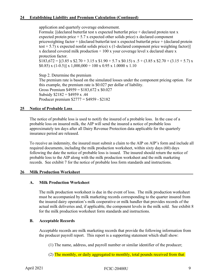#### 24 Establishing Liability and Premium Calculation (Continued)

application and quarterly coverage endorsement.

Formula: [(declared butterfat test x expected butterfat price + declared protein test x expected protein price  $+ 5.7$  x expected other solids price) x declared component priceweighting factor + (declared butterfat test x expected butterfat price + (declared protein test  $+ 5.7$ ) x expected nonfat solids price) x (1-declared component price weighting factor)] x declared covered milk production  $\div 100$  x your coverage level x declared share x protection factor.  $$183,672 = [(3.85 \times $2.70 + 3.15 \times $1.90 + 5.7 \times $0.15) \times .5 + (3.85 \times $2.70 + (3.15 + 5.7) \times$  $$0.85$ ) x (1-0.5)] x 1,000,000 ÷ 100 x 0.95 x 1.0000 x 1.10

Step 2. Determine the premium The premium rate is based on the simulated losses under the component pricing option. For this example, the premium rate is \$0.027 per dollar of liability. Gross Premium  $$4959 = $183,672 \times $0.027$ Subsidy  $$2182 = $4959 \text{ x}.44$ Producer premium \$2777 = \$4959 - \$2182

#### <span id="page-14-0"></span>**25 Notice of Probable Loss\_\_\_\_\_\_\_\_\_\_\_\_\_\_\_\_\_\_\_\_\_\_\_\_\_\_\_\_\_\_\_\_\_\_\_\_\_\_\_\_\_\_\_\_\_\_\_\_\_\_\_\_\_\_\_\_\_**

The notice of probable loss is used to notify the insured of a probable loss. In the case of a probable loss on insured milk, the AIP will send the insured a notice of probable loss approximately ten days after all Dairy Revenue Protection data applicable for the quarterly insurance period are released.

To receive an indemnity, the insured must submit a claim to the AIP on AIP's form and include all required documents, including the milk production worksheet, within sixty days (60) days following the date the notice of probable loss is issued. The insured should return the notice of probable loss to the AIP along with the milk production worksheet and the milk marketing records. See exhibit 7 for the notice of probable loss form standards and instructions.

#### <span id="page-14-1"></span>26 Milk Production Worksheet

#### **A. Milk Production Worksheet**

The milk production worksheet is due in the event of loss. The milk production worksheet must be accompanied by milk marketing records corresponding to the quarter insured from the insured dairy operation's milk cooperative or milk handler that provides records of the actual milk deliveries and, if applicable, the component levels in the milk sold. See exhibit 8 for the milk production worksheet form standards and instructions.

#### **B. Acceptable Records**

 Acceptable records are milk marketing records that provide the following information from the producer payroll report. This report is a supporting statement which shall show:

(1) The name, address, and payroll number or similar identifier of the producer;

(2) The monthly, or daily aggregated to monthly, total pounds received from that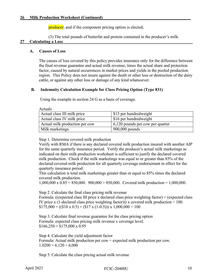producer; and if the component pricing option is elected;

(3) The total pounds of butterfat and protein contained in the producer's milk.

#### <span id="page-15-0"></span>**27 Calculating a Loss\_\_\_\_\_\_\_\_\_\_\_\_\_\_\_\_\_\_\_\_\_\_\_\_\_\_\_\_\_\_\_\_\_\_\_\_\_\_\_\_\_\_\_\_\_\_\_\_\_\_\_\_\_\_\_\_\_\_\_\_\_\_**

#### **A. Causes of Loss**

The causes of loss covered by this policy provides insurance only for the difference between the final revenue guarantee and actual milk revenue, times the actual share and protection factor, caused by natural occurrences in market prices and yields in the pooled production region. This Policy does not insure against the death or other loss or destruction of the dairy cattle, or against any other loss or damage of any kind whatsoever.

#### **B. Indemnity Calculation Example for Class Pricing Option (Type 831)**

Using the example in section 24 G as a basis of coverage.

| Actuals                        |                                    |  |  |
|--------------------------------|------------------------------------|--|--|
| Actual class III milk price    | \$15 per hundredweight             |  |  |
| Actual class IV milk price     | \$16 per hundredweight             |  |  |
| Actual milk production per cow | $6,120$ pounds per cow per quarter |  |  |
| Milk marketings                | $900,000$ pounds                   |  |  |

Step 1. Determine covered milk production

Verify with RMA if there is any declared covered milk production insured with another AIP for the same quarterly insurance period. Verify the producer's actual milk marketings as indicated on their milk production worksheet is sufficient to justify the declared covered milk production. Check if the milk marketings was equal to or greater than 85% of the declared covered milk production for all quarterly coverage endorsement in effect for the quarterly insurance period:

This calculation is total milk marketings greater than or equal to 85% times the declared covered milk production.

1,000,000 x 0.85 = 850,000. 900,000 > 850,000. Covered milk production = 1,000,000.

Step 2. Calculate the final class pricing milk revenue

Formula: ((expected class III price x declared class price weighting factor) + (expected class IV price x (1-declared class price weighting factor))) x covered milk production  $\div 100$ .  $$175,000 = ((\$18 \times 0.5) + (\$17 \times (1-0.5))) \times 1,000,000 \div 100$ 

Step 3. Calculate final revenue guarantee for the class pricing option Formula: expected class pricing milk revenue x coverage level.  $$166,250 = $175,000 \times 0.95$ 

Step 4. Calculate the yield adjustment factor Formula: Actual milk production per cow  $\div$  expected milk production per cow.  $1.0200 = 6{,}120 \div 6{,}000$ 

Step 5. Calculate the class pricing actual milk revenue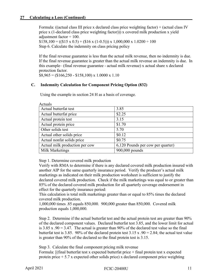$A$ <sub>c</sub> $A$ <sub>r</sub> $A$ <sup>1</sup>s

Formula: ((actual class III price x declared class price weighting factor) + (actual class IV price x (1-declared class price weighting factor))) x covered milk production x yield adjustment factor  $\div$  100.  $$158,100 = ((\$15 \times 0.5) + (\$16 \times (1-0.5))) \times 1,000,000 \times 1.0200 \div 100$ Step 6. Calculate the indemnity on class pricing policy

If the final revenue guarantee is less than the actual milk revenue, then no indemnity is due. If the final revenue guarantee is greater than the actual milk revenue an indemnity is due. In this example– (final revenue guarantee - actual milk revenue) x actual share x declared protection factor.

 $$8,965 = ($166,250 - $158,100) \times 1.0000 \times 1.10$ 

#### **C. Indemnity Calculation for Component Pricing Option (832)**

Using the example in section 24 H as a basis of coverage.

| 3.85                              |
|-----------------------------------|
| \$2.25                            |
| 3.15                              |
| \$1.70                            |
| 5.70                              |
| \$0.12                            |
| \$0.75                            |
| 6,120 Pounds per cow per quarter) |
| 900,000 pounds                    |
|                                   |

Step 1. Determine covered milk production

Verify with RMA to determine if there is any declared covered milk production insured with another AIP for the same quarterly insurance period. Verify the producer's actual milk marketings as indicated on their milk production worksheet is sufficient to justify the declared covered milk production. Check if the milk marketings was equal to or greater than 85% of the declared covered milk production for all quarterly coverage endorsement in effect for the quarterly insurance period:

This calculation is total milk marketings greater than or equal to 85% times the declared covered milk production.

1,000,000 times .85 equals 850,000. 900,000 greater than 850,000. Covered milk production equals 1,000,000.

Step 2. Determine if the actual butterfat test and the actual protein test are greater than 90% of the declared component values. Declared butterfat test 3.85, and the lower limit for actual is  $3.85$  x .90 = 3.47. The actual is greater than 90% of the declared test value so the final butterfat test is 3.85. 90% of the declared protein test 3.15 x .90 = 2.84; the actual test value is greater than 90% of the declared so the final protein test is 3.15.

Step 3. Calculate the final component pricing milk revenue

Formula:  $\int$  [final butterfat test x expected butterfat price  $+$  final protein test x expected protein price  $+ 5.7$  x expected other solids price) x declared component price weighting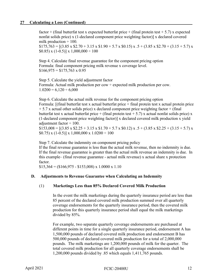factor + (final butterfat test x expected butterfat price + (final protein test  $+ 5.7$ ) x expected nonfat solids price) x (1-declared component price weighting factor)] x declared covered milk production  $\div$  100.  $$175,763 = [(3.85 \times $2.70 + 3.15 \times $1.90 + 5.7 \times $0.15) \times .5 + (3.85 \times $2.70 + (3.15 + 5.7) \times ]$ 

 $(0.85)$  x  $(1-0.5)$ ] x  $1,000,000 \div 100$ 

Step 4. Calculate final revenue guarantee for the component pricing option Formula: final component pricing milk revenue x coverage level.  $$166,975 = $175,763 \times 0.95$ 

Step 5. Calculate the yield adjustment factor Formula: Actual milk production per cow  $\div$  expected milk production per cow.  $1.0200 = 6{,}120 \div 6{,}000$ 

Step 6. Calculate the actual milk revenue for the component pricing option Formula:  $\int$  [final butterfat test x actual butterfat price + final protein test x actual protein price + 5.7 x actual other solids price) x declared component price weighting factor + (final butterfat test x actual butterfat price + (final protein test  $+ 5.7$ ) x actual nonfat solids price) x (1-declared component price weighting factor)] x declared covered milk production x yield adjustment factor  $\div$  100.

 $$153,008 = [(3.85 \times $2.25 + 3.15 \times $1.70 + 5.7 \times $0.12) \times .5 + (3.85 \times $2.25 + (3.15 + 5.7) \times ]$  $$0.75$ ) x (1-0.5)] x 1,000,000 x 1.0200 ÷ 100

Step 7. Calculate the indemnity on component pricing policy

If the final revenue guarantee is less than the actual milk revenue, then no indemnity is due. If the final revenue guarantee is greater than the actual milk revenue an indemnity is due. In this example– (final revenue guarantee - actual milk revenue) x actual share x protection factor.

 $$15,364 = ($166,975 - $153,008) \times 1.0000 \times 1.10$ 

#### **D. Adjustments to Revenue Guarantee when Calculating an Indemnity**

#### (1) **Marketings Less than 85% Declared Covered Milk Production**

In the event the milk marketings during the quarterly insurance period are less than 85 percent of the declared covered milk production summed over all quarterly coverage endorsements for the quarterly insurance period, then the covered milk production for this quarterly insurance period shall equal the milk marketings divided by 85%.

For example, two separate quarterly coverage endorsements are purchased at different points in time for a single quarterly insurance period, endorsement A has 1,500,000 pounds of declared covered milk production and endorsement B has 500,000 pounds of declared covered milk production for a total of 2,000,000 pounds. The milk marketings are 1,200,000 pounds of milk for the quarter. The total covered milk production for all quarterly coverage endorsements shall be 1,200,000 pounds divided by .85 which equals 1,411,765 pounds.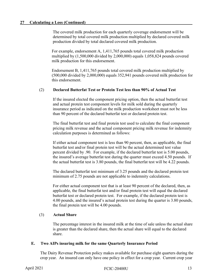The covered milk production for each quarterly coverage endorsement will be determined by total covered milk production multiplied by declared covered milk production divided by total declared covered milk production.

For example, endorsement A, 1,411,765 pounds total covered milk production multiplied by (1,500,000 divided by 2,000,000) equals 1,058,824 pounds covered milk production for this endorsement.

Endorsement B, 1,411,765 pounds total covered milk production multiplied by (500,000 divided by 2,000,000) equals 352,941 pounds covered milk production for this endorsement.

#### (2) **Declared Butterfat Test or Protein Test less than 90% of Actual Test**

If the insured elected the component pricing option, then the actual butterfat test and actual protein test component levels for milk sold during the quarterly insurance period as indicated on the milk production worksheet must not be less than 90 percent of the declared butterfat test or declared protein test.

The final butterfat test and final protein test used to calculate the final component pricing milk revenue and the actual component pricing milk revenue for indemnity calculation purposes is determined as follows:

If either actual component test is less than 90 percent, then, as applicable, the final butterfat test and/or final protein test will be the actual determined test value percent divided by .90. For example, if the declared butterfat test is 5.00 pounds, the insured's average butterfat test during the quarter must exceed 4.50 pounds. If the actual butterfat test is 3.80 pounds, the final butterfat test will be 4.22 pounds.

The declared butterfat test minimum of 3.25 pounds and the declared protein test minimum of 2.75 pounds are not applicable to indemnity calculations.

For either actual component test that is at least 90 percent of the declared, then, as applicable, the final butterfat test and/or final protein test will equal the declared butterfat test or declared protein test. For example, if the declared protein test is 4.00 pounds, and the insured's actual protein test during the quarter is 3.80 pounds, the final protein test will be 4.00 pounds.

#### (3) **Actual Share**

The percentage interest in the insured milk at the time of sale unless the actual share is greater than the declared share, then the actual share will equal to the declared share.

#### **E. Two AIPs insuring milk for the same Quarterly Insurance Period**

The Dairy Revenue Protection policy makes available for purchase eight quarters during the crop year. An insured can only have one policy in effect for a crop year. Current crop year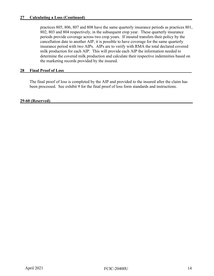practices 805, 806, 807 and 808 have the same quarterly insurance periods as practices 801, 802, 803 and 804 respectively, in the subsequent crop year. These quarterly insurance periods provide coverage across two crop years. If insured transfers their policy by the cancellation date to another AIP, it is possible to have coverage for the same quarterly insurance period with two AIPs. AIPs are to verify with RMA the total declared covered milk production for each AIP. This will provide each AIP the information needed to determine the covered milk production and calculate their respective indemnities based on the marketing records provided by the insured.

#### <span id="page-19-0"></span>28 Final Proof of Loss

The final proof of loss is completed by the AIP and provided to the insured after the claim has been processed. See exhibit 9 for the final proof of loss form standards and instructions.

#### <span id="page-19-1"></span>**29-60 (Reserved)\_\_\_\_\_\_\_\_\_\_\_\_\_\_\_\_\_\_\_\_\_\_\_\_\_\_\_\_\_\_\_\_\_\_\_\_\_\_\_\_\_\_\_\_\_\_\_\_\_\_\_\_\_\_\_\_\_\_\_\_\_\_\_\_\_\_\_\_**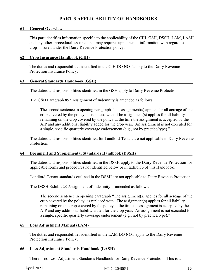# **PART 3 APPLICABILITY OF HANDBOOKS**

#### <span id="page-20-1"></span><span id="page-20-0"></span>**61** General Overview

This part identifies information specific to the applicability of the CIH, GSH, DSSH, LAM, LASH and any other procedural issuance that may require supplemental information with regard to a crop insured under the Dairy Revenue Protection policy.

#### <span id="page-20-2"></span>**62 Crop Insurance Handbook (CIH)\_\_\_\_\_\_\_\_\_\_\_\_\_\_\_\_\_\_\_\_\_\_\_\_\_\_\_\_\_\_\_\_\_\_\_\_\_\_\_\_\_\_\_\_\_\_\_\_\_**

The duties and responsibilities identified in the CIH DO NOT apply to the Dairy Revenue Protection Insurance Policy.

#### <span id="page-20-3"></span>**63 General Standards Handbook (GSH)\_\_\_\_\_\_\_\_\_\_\_\_\_\_\_\_\_\_\_\_\_\_\_\_\_\_\_\_\_\_\_\_\_\_\_\_\_\_\_\_\_\_\_\_\_\_**

The duties and responsibilities identified in the GSH apply to Dairy Revenue Protection.

The GSH Paragraph 852 Assignment of Indemnity is amended as follows:

The second sentence in opening paragraph "The assignment(s) applies for all acreage of the crop covered by the policy" is replaced with "The assignment(s) applies for all liability remaining on the crop covered by the policy at the time the assignment is accepted by the AIP and any additional liability added for the crop year. An assignment is not executed for a single, specific quarterly coverage endorsement (e.g., not by practice/type)."

The duties and responsibilities identified for Landlord-Tenant are not applicable to Dairy Revenue Protection.

#### <span id="page-20-4"></span>**64 Document and Supplemental Standards Handbook (DSSH)\_\_\_\_\_\_\_\_\_\_\_\_\_\_\_\_\_\_\_\_\_\_\_\_\_\_\_**

The duties and responsibilities identified in the DSSH apply to the Dairy Revenue Protection for applicable forms and procedures not identified below or in Exhibit 3 of this Handbook.

Landlord-Tenant standards outlined in the DSSH are not applicable to Dairy Revenue Protection.

The DSSH Exhibit 28 Assignment of Indemnity is amended as follows:

The second sentence in opening paragraph "The assignment(s) applies for all acreage of the crop covered by the policy" is replaced with "The assignment(s) applies for all liability remaining on the crop covered by the policy at the time the assignment is accepted by the AIP and any additional liability added for the crop year. An assignment is not executed for a single, specific quarterly coverage endorsement (e.g., not by practice/type)."

#### <span id="page-20-5"></span>**65 Loss Adjustment Manual (LAM)\_\_\_\_\_\_\_\_\_\_\_\_\_\_\_\_\_\_\_\_\_\_\_\_\_\_\_\_\_\_\_\_\_\_\_\_\_\_\_\_\_\_\_\_\_\_\_\_\_\_**

The duties and responsibilities identified in the LAM DO NOT apply to the Dairy Revenue Protection Insurance Policy.

#### <span id="page-20-6"></span>**66 Loss Adjustment Standards Handbook (LASH)\_\_\_\_\_\_\_\_\_\_\_\_\_\_\_\_\_\_\_\_\_\_\_\_\_\_\_\_\_\_\_\_\_\_\_\_\_**

There is no Loss Adjustment Standards Handbook for Dairy Revenue Protection. This is a

April 2021 **FCIC-20400U** 15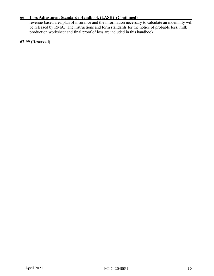#### **66 Loss Adjustment Standards Handbook (LASH)\_(Continued)\_\_\_\_\_\_\_\_\_\_\_\_\_\_\_\_\_\_\_\_\_\_\_\_\_\_**

revenue-based area plan of insurance and the information necessary to calculate an indemnity will be released by RMA. The instructions and form standards for the notice of probable loss, milk production worksheet and final proof of loss are included in this handbook.

#### <span id="page-21-0"></span>**67-99 (Reserved)\_\_\_\_\_\_\_\_\_\_\_\_\_\_\_\_\_\_\_\_\_\_\_\_\_\_\_\_\_\_\_\_\_\_\_\_\_\_\_\_\_\_\_\_\_\_\_\_\_\_\_\_\_\_\_\_\_\_\_\_\_\_\_\_\_\_\_\_**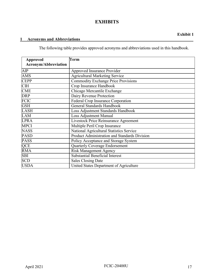# **EXHIBITS**

<span id="page-22-0"></span>The following table provides approved acronyms and abbreviations used in this handbook.

<span id="page-22-1"></span>

| <b>Approved</b>             | Term                                          |
|-----------------------------|-----------------------------------------------|
| <b>Acronym/Abbreviation</b> |                                               |
| AIP                         | Approved Insurance Provider                   |
| <b>AMS</b>                  | <b>Agricultural Marketing Service</b>         |
| <b>CEPP</b>                 | <b>Commodity Exchange Price Provisions</b>    |
| <b>CIH</b>                  | Crop Insurance Handbook                       |
| <b>CME</b>                  | Chicago Mercantile Exchange                   |
| <b>DRP</b>                  | Dairy Revenue Protection                      |
| <b>FCIC</b>                 | Federal Crop Insurance Corporation            |
| <b>GSH</b>                  | General Standards Handbook                    |
| <b>LASH</b>                 | Loss Adjustment Standards Handbook            |
| LAM                         | <b>Loss Adjustment Manual</b>                 |
| <b>LPRA</b>                 | Livestock Price Reinsurance Agreement         |
| <b>MPCI</b>                 | Multiple Peril Crop Insurance                 |
| <b>NASS</b>                 | National Agricultural Statistics Service      |
| <b>PASD</b>                 | Product Administration and Standards Division |
| <b>PASS</b>                 | Policy Acceptance and Storage System          |
| QCE                         | <b>Quarterly Coverage Endorsement</b>         |
| <b>RMA</b>                  | <b>Risk Management Agency</b>                 |
| <b>SBI</b>                  | <b>Substantial Beneficial Interest</b>        |
| <b>SCD</b>                  | <b>Sales Closing Date</b>                     |
| <b>USDA</b>                 | United States Department of Agriculture       |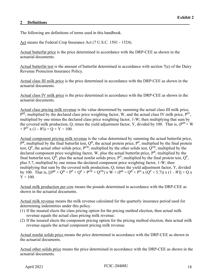#### <span id="page-23-0"></span>2 Definitions

The following are definitions of terms used in this handbook.

Act means the Federal Crop Insurance Act (7 U.S.C. 1501 - 1524).

Actual butterfat price is the price determined in accordance with the DRP-CEE as shown in the actuarial documents.

Actual butterfat test is the amount of butterfat determined in accordance with section 7(e) of the Dairy Revenue Protection Insurance Policy.

Actual class III milk price is the price determined in accordance with the DRP-CEE as shown in the actuarial documents.

Actual class IV milk price is the price determined in accordance with the DRP-CEE as shown in the actuarial documents.

Actual class pricing milk revenue is the value determined by summing the actual class III milk price,  $\overline{P}^{III}$ , multiplied by the declared class price weighting factor, W, and the actual class IV milk price,  $P^{IV}$ , multiplied by one minus the declared class price weighting factor, 1-W; then multiplying that sum by the covered milk production, Q, times the yield adjustment factor, Y, divided by 100. That is, ( $P^{III} \times W$ )  $+ P^{IV}$  x (1 - *W*))  $\times$  Q  $\times$  Y ÷ 100.

Actual component pricing milk revenue is the value determined by summing the actual butterfat price,  $P^B$ , multiplied by the final butterfat test,  $Q^B$ , the actual protein price,  $P^P$ , multiplied by the final protein test,  $Q^P$ , the actual other solids price,  $P^{OS}$ , multiplied by the other solids test,  $Q^{OS}$ , multiplied by the declared component price weighting factor, W, plus the actual butterfat price,  $P<sup>B</sup>$ , multiplied by the final butterfat test,  $Q^B$ , plus the actual nonfat solids price,  $P^N$ , multiplied by the final protein test,  $Q^P$ , plus 5.7, multiplied by one minus the declared component price weighting factor, 1-W; then multiplying that sum by the covered milk production, Q; times the yield adjustment factor, Y, divided by 100. That is,  $[(P^{B} \times Q^{B} + P^{P} \times Q^{P} + P^{OS} \times Q^{OS}) \times W + (P^{B} \times Q^{B} + P^{N} \times (Q^{P} + 5.7)) \times (1 - W)] \times Q \times$  $Y \div 100.$ 

Actual milk production per cow means the pounds determined in accordance with the DRP-CEE as shown in the actuarial documents.

Actual milk revenue means the milk revenue calculated for the quarterly insurance period used for determining indemnities under this policy.

- (1) If the insured elects the class pricing option for the pricing method election, then actual milk revenue equals the actual class pricing milk revenue.
- (2) If the insured elects the component pricing option for the pricing method election, then actual milk revenue equals the actual component pricing milk revenue.

Actual nonfat solids price means the price determined in accordance with the DRP-CEE as shown in the actuarial documents.

Actual other solids price means the price determined in accordance with the DRP-CEE as shown in the actuarial documents.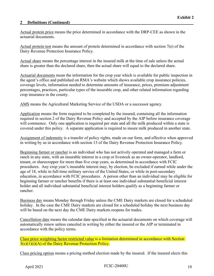Actual protein price means the price determined in accordance with the DRP-CEE as shown in the actuarial documents.

Actual protein test means the amount of protein determined in accordance with section 7(e) of the Dairy Revenue Protection Insurance Policy.

Actual share means the percentage interest in the insured milk at the time of sale unless the actual share is greater than the declared share, then the actual share will equal to the declared share.

Actuarial documents mean the information for the crop year which is available for public inspection in the agent's office and published on RMA's website which shows available crop insurance policies, coverage levels, information needed to determine amounts of insurance, prices, premium adjustment percentages, practices, particular types of the insurable crop, and other related information regarding crop insurance in the county.

AMS means the Agricultural Marketing Service of the USDA or a successor agency.

Application means the form required to be completed by the insured, containing all the information required in section 2 of the Dairy Revenue Policy and accepted by the AIP before insurance coverage will commence. Only one application is required per state and all the milk produced within a state is covered under this policy. A separate application is required to insure milk produced in another state.

Assignment of indemnity is a transfer of policy rights, made on our form, and effective when approved in writing by us in accordance with section 13 of the Dairy Revenue Protection Insurance Policy.

Beginning farmer or rancher is an individual who has not actively operated and managed a farm or ranch in any state, with an insurable interest in a crop or livestock as an owner-operator, landlord, tenant, or sharecropper for more than five crop years, as determined in accordance with FCIC procedures. Any crop year's insurable interest may, by election, be excluded if earned while under the age of 18, while in full-time military service of the United States, or while in post-secondary education, in accordance with FCIC procedures. A person other than an individual may be eligible for beginning farmer or rancher benefits if there is at least one individual substantial beneficial interest holder and all individual substantial beneficial interest holders qualify as a beginning farmer or rancher.

Business day means Monday through Friday unless the CME Dairy markets are closed for a scheduled holiday. In the case the CME Dairy markets are closed for a scheduled holiday the next business day will be based on the next day the CME Dairy markets reopens for trades.

Cancellation date means the calendar date specified in the actuarial documents on which coverage will automatically renew unless canceled in writing by either the insured or the AIP or terminated in accordance with the policy terms.

Class price weighting factor restricted value is a limitation determined in accordance with Section  $3(c)(1)(i)(A)$  of the Dairy Revenue Protection Policy.

Class pricing option means a pricing method election made by the insured. If the insured elects this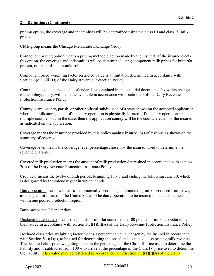pricing option, the coverage and indemnities will be determined using the class III and class IV milk prices.

CME group means the Chicago Mercantile Exchange Group.

Component pricing option means a pricing method election made by the insured. If the insured elects this option, the coverage and indemnities will be determined using component milk prices for butterfat, protein, other solids and nonfat solids.

Component price weighting factor restricted value is a limitation determined in accordance with Section 3(c)(1)(ii)(D) of the Dairy Revenue Protection Policy.

Contract change date means the calendar date contained in the actuarial documents, by which changes to the policy, if any, will be made available in accordance with section 20 of the Dairy Revenue Protection Insurance Policy.

County is any county, parish, or other political subdivision of a state shown on the accepted application where the milk storage tank of the dairy operation is physically located. If the dairy operation spans multiple counties within the state, then the application county will be the county elected by the insured as indicated on the application.

Coverage means the insurance provided by this policy against insured loss of revenue as shown on the summary of coverage.

Coverage level means the coverage level percentage chosen by the insured, used to determine the revenue guarantee.

Covered milk production means the amount of milk production determined in accordance with section 7(d) of the Dairy Revenue Protection Insurance Policy.

Crop year means the twelve-month period, beginning July 1 and ending the following June 30, which is designated by the calendar year in which it ends.

Dairy operation means a business commercially producing and marketing milk, produced from cows, as a single unit located in the United States. The dairy operation to be insured must be contained within one pooled production region.

Days means the Calendar days.

Declared butterfat test means the pounds of milkfat contained in 100 pounds of milk, as declared by the insured in accordance with section  $3(c)(1)(ii)(A)$  of the Dairy Revenue Protection Insurance Policy.

Declared class price weighting factor means a percentage value, chosen by the insured in accordance with Section  $3(c)(1)(i)$ , to be used for determining the actual and expected class pricing milk revenue. The declared class price weighting factor is the percentage of the Class III price used to determine the liability and is subtracted from 100% to arrive at the percentage of the Class IV price used to determine the liability. This value may be restricted in accordance with Section  $3(c)(1)(i)(A)$  of the Dairy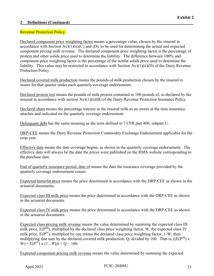#### Revenue Protection Policy.

Declared component price weighting factor means a percentage value, chosen by the insured in accordance with Section  $3(c)(1)(ii)(C)$  and (D), to be used for determining the actual and expected component pricing milk revenue. The declared component price weighting factor is the percentage of protein and other solids price used to determine the liability. The difference between 100% and component price weighting factor is the percentage of the nonfat solids price used to determine the liability. This value may be restricted in accordance with Section 3(c)(1)(ii)(D) of the Dairy Revenue Protection Policy.

Declared covered milk production means the pounds of milk production chosen by the insured to insure for that quarter under each quarterly coverage endorsement.

Declared protein test means the pounds of milk protein contained in 100 pounds of, as declared by the insured in accordance with section 3(c)(1)(ii)(B) of the Dairy Revenue Protection Insurance Policy.

Declared share means the percentage interest in the insured milk as an owner at the time insurance attaches and indicated on the quarterly coverage endorsement.

Delinquent debt has the same meaning as the term defined in 7 CFR part 400, subpart U.

DRP-CEE means the Dairy Revenue Protection Commodity Exchange Endorsement applicable for the crop year.

Effective date means the date coverage begins, as shown in the quarterly coverage endorsement. The effective date will always be the date the prices were published on the RMA website corresponding to the purchase date.

End of quarterly insurance period, date of means the date the insurance coverage provided by the quarterly coverage endorsement ceases.

Expected butterfat price means the price determined in accordance with the DRP-CEE as shown in the actuarial documents.

Expected class III milk price means the price determined in accordance with the DRP-CEE as shown in the actuarial documents.

Expected class IV milk price means the price determined in accordance with the DRP-CEE as shown in the actuarial documents.

Expected class pricing milk revenue means the value determined by summing the expected class III milk price,  $E(P^{III})$ , multiplied by the declared class price weighting factor, W, the expected class IV milk price,  $E(P^{IV})$ , multiplied by one minus the declared class price weighting factor, 1-W; then multiplying that sum by the declared covered milk production, Q; divided by 100. That is,  $((E(P^{III}) x)$ W) +  $E(P^{IV}) \times (1 - W)$ ) × Q ÷ 100.

Expected component pricing milk revenue means the value determined by summing the expected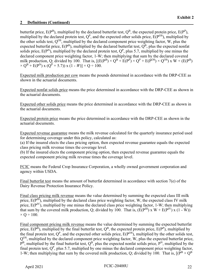butterfat price,  $E(P^B)$ , multiplied by the declared butterfat test,  $Q^B$ , the expected protein price,  $E(P^P)$ , multiplied by the declared protein test,  $Q^P$ , and the expected other solids price,  $E(P^{OS})$ , multiplied by the other solids test,  $Q^{OS}$ , multiplied by the declared component price weighting factor, W, plus the expected butterfat price,  $E(P^B)$ , multiplied by the declared butterfat test,  $Q^B$ , plus the expected nonfat solids price,  $E(P^N)$ , multiplied by the declared protein test,  $Q^P$ , plus 5.7, multiplied by one minus the declared component price weighting factor, 1-W; then multiplying that sum by the declared covered milk production, Q; divided by 100. That is,  $[(E(P^B) \times Q^B + E(P^P) \times Q^P + E(P^{OS}) \times Q^{OS}) \times W + (E(P^B) \times Q^P + E(P^C) \times Q^{OS})$  $\times Q^{B}$  + E(P<sup>N</sup>) x (Q<sup>P</sup> + 5.7)) x (1 - *W*)]  $\times$  Q ÷ 100.

Expected milk production per cow means the pounds determined in accordance with the DRP-CEE as shown in the actuarial documents.

Expected nonfat solids price means the price determined in accordance with the DRP-CEE as shown in the actuarial documents.

Expected other solids price means the price determined in accordance with the DRP-CEE as shown in the actuarial documents.

Expected protein price means the price determined in accordance with the DRP-CEE as shown in the actuarial documents.

Expected revenue guarantee means the milk revenue calculated for the quarterly insurance period used for determining coverage under this policy, calculated as:

(a) If the insured elects the class pricing option, then expected revenue guarantee equals the expected class pricing milk revenue times the coverage level.

(b) If the insured elects the component pricing option, then expected revenue guarantee equals the expected component pricing milk revenue times the coverage level.

FCIC means the Federal Crop Insurance Corporation, a wholly owned government corporation and agency within USDA.

Final butterfat test means the amount of butterfat determined in accordance with section 7(e) of the Dairy Revenue Protection Insurance Policy.

Final class pricing milk revenue means the value determined by summing the expected class III milk price,  $E(P^{III})$ , multiplied by the declared class price weighting factor, W, the expected class IV milk price,  $E(P^{IV})$ , multiplied by one minus the declared class price weighting factor, 1-W; then multiplying that sum by the covered milk production, Q; divided by 100. That is,  $(E(P^{III}) \times W + E(P^{IV}) \times (1 - W))$  $\times$  Q ÷ 100.

Final component pricing milk revenue means the value determined by summing the expected butterfat price,  $E(P^B)$ , multiplied by the final butterfat test,  $Q^B$ , the expected protein price,  $E(P^P)$ , multiplied by the final protein test,  $Q^P$ , and the expected other solids price,  $E(P^{OS})$ , multiplied by the other solids test,  $Q^{OS}$ , multiplied by the declared component price weighting factor, W, plus the expected butterfat price,  $P^{B}$ , multiplied by the final butterfat test,  $Q^{B}$ , plus the expected nonfat solids price,  $P^{N}$ , multiplied by the final protein test,  $Q^P$ , plus 5.7, multiplied by one minus the declared component price weighting factor, 1-W; then multiplying that sum by the covered milk production, Q; divided by 100. That is,  $[(P^{B} \times Q^{B})]$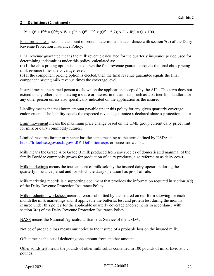$+ P^P \times Q^P + P^{OS} \times Q^{OS}$ ) x W + ( $P^B \times Q^B + P^N$  x ( $Q^P + 5.7$ )) x (1 - *W*)]  $\times Q \div 100$ .

Final protein test means the amount of protein determined in accordance with section 7(e) of the Dairy Revenue Protection Insurance Policy.

Final revenue guarantee means the milk revenue calculated for the quarterly insurance period used for determining indemnities under this policy, calculated as:

(a) If the class pricing option is elected, then the final revenue guarantee equals the final class pricing milk revenue times the coverage level.

(b) If the component pricing option is elected, then the final revenue guarantee equals the final component pricing milk revenue times the coverage level.

Insured means the named person as shown on the application accepted by the AIP. This term does not extend to any other person having a share or interest in the animals, such as a partnership, landlord, or any other person unless also specifically indicated on the application as the insured.

Liability means the maximum amount payable under this policy for any given quarterly coverage endorsement. The liability equals the expected revenue guarantee x declared share x protection factor.

Limit movement means the maximum price change based on the CME group current daily price limit for milk or dairy commodity futures.

Limited resource farmer or rancher has the same meaning as the term defined by USDA at [https://lrftool.sc.egov.usda.gov/LRP\\_Definition.aspx](https://lrftool.sc.egov.usda.gov/LRP_Definition.aspx) or successor website.

Milk means the Grade A or Grade B milk produced from any species of domesticated mammal of the family Bovidae commonly grown for production of dairy products, also referred to as dairy cows.

Milk marketings means the total amount of milk sold by the insured dairy operation during the quarterly insurance period and for which the dairy operation has proof of sale.

Milk marketing records is a supporting document that provides the information required in section 3(d) of the Dairy Revenue Protection Insurance Policy.

Milk production worksheet means a report submitted by the insured on our form showing for each month the milk marketings and, if applicable the butterfat test and protein test during the months insured under this policy for the applicable quarterly coverage endorsements in accordance with section 3(d) of the Dairy Revenue Protection Insurance Policy.

NASS means the National Agricultural Statistics Service of the USDA.

Notice of probable loss means our notice to the insured of a probable loss on the insured milk.

Offset means the act of deducting one amount from another amount.

Other solids test means the pounds of other milk solids contained in 100 pounds of milk, fixed at 5.7 pounds.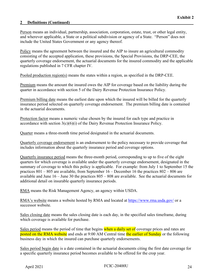Person means an individual, partnership, association, corporation, estate, trust, or other legal entity, and wherever applicable, a State or a political subdivision or agency of a State. "Person" does not include the United States Government or any agency thereof.

Policy means the agreement between the insured and the AIP to insure an agricultural commodity consisting of the accepted application, these provisions, the Special Provisions, the DRP-CEE, the quarterly coverage endorsement, the actuarial documents for the insured commodity and the applicable regulations published in 7 CFR chapter IV.

Pooled production region(s) means the states within a region, as specified in the DRP-CEE.

Premium means the amount the insured owes the AIP for coverage based on the liability during the quarter in accordance with section 5 of the Dairy Revenue Protection Insurance Policy.

Premium billing date means the earliest date upon which the insured will be billed for the quarterly insurance period selected on quarterly coverage endorsement. The premium billing date is contained in the actuarial documents.

Protection factor means a numeric value chosen by the insured for each type and practice in accordance with section 3(c)(6)(i) of the Dairy Revenue Protection Insurance Policy.

Quarter means a three-month time period designated in the actuarial documents.

Quarterly coverage endorsement is an endorsement to the policy necessary to provide coverage that includes information about the quarterly insurance period and coverage options.

Quarterly insurance period means the three-month period, corresponding to up to five of the eight quarters for which coverage is available under the quarterly coverage endorsement, designated in the summary of coverage to which this policy is applicable. For example: from July 1 to September 15 the practices 801 – 805 are available, from September 16 – December 16 the practices 802 – 806 are available and June 16 – June 30 the practices 805 – 808 are available. See the actuarial documents for additional detail on insurable quarterly insurance periods.

RMA means the Risk Management Agency, an agency within USDA.

RMA's website means a website hosted by RMA and located at<https://www.rma.usda.gov/> or a successor website.

Sales closing date means the sales closing date is each day, in the specified sales timeframe, during which coverage is available for purchase.

Sales period means the period of time that begins when a daily set of coverage prices and rates are posted on the RMA website and ends at 9:00 AM Central time the earlier of Sunday or the following business day in which the insured can purchase quarterly endorsements.

Sales period begin date is a date contained in the actuarial documents citing the first date coverage for a specific quarterly insurance period becomes available to be offered for the crop year.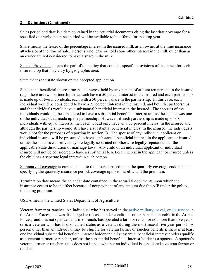Sales period end date is a date contained in the actuarial documents citing the last date coverage for a specified quarterly insurance period will be available to be offered for the crop year.

Share means the lesser of the percentage interest in the insured milk as an owner at the time insurance attaches or at the time of sale. Persons who lease or hold some other interest in the milk other than as an owner are not considered to have a share in the milk.

Special Provisions means the part of the policy that contains specific provisions of insurance for each insured crop that may vary by geographic area.

State means the state shown on the accepted application.

Substantial beneficial interest means an interest held by any person of at least ten percent in the insured (e.g., there are two partnerships that each have a 50 percent interest in the insured and each partnership is made up of two individuals, each with a 50 percent share in the partnership. In this case, each individual would be considered to have a 25 percent interest in the insured, and both the partnerships and the individuals would have a substantial beneficial interest in the insured. The spouses of the individuals would not be considered to have a substantial beneficial interest unless the spouse was one of the individuals that made up the partnership. However, if each partnership is made up of six individuals with equal interests, then each would only have an 8.33 percent interest in the insured and although the partnership would still have a substantial beneficial interest in the insured, the individuals would not for the purposes of reporting in section 2). The spouse of any individual applicant or individual insured will be presumed to have a substantial beneficial interest in the applicant or insured unless the spouses can prove they are legally separated or otherwise legally separate under the applicable State dissolution of marriage laws. Any child of an individual applicant or individual insured will not be considered to have a substantial beneficial interest in the applicant or insured unless the child has a separate legal interest in such person.

Summary of coverage is our statement to the insured, based upon the quarterly coverage endorsement, specifying the quarterly insurance period, coverage options, liability and the premium.

Termination date means the calendar date contained in the actuarial documents upon which the insurance ceases to be in effect because of nonpayment of any amount due the AIP under the policy, including premium.

USDA means the United States Department of Agriculture.

Veteran farmer or rancher An individual who has served in the [active military, naval, or air service](https://www.law.cornell.edu/definitions/uscode.php?width=840&height=800&iframe=true&def_id=38-USC-1994457193-746307971&term_occur=1&term_src=title:38:part:I:chapter:1:section:101) in the Armed Forces, and was discharged or released under conditions other than dishonorable in the Armed Forces, and: has not operated a farm or ranch; has operated a farm or ranch for not more than five years; or is a veteran who has first obtained status as a veteran during the most recent five-year period. A person other than an individual may be eligible for veteran farmer or rancher benefits if there is at least one individual substantial beneficial interest holder and all substantial beneficial interest holders qualify as a veteran farmer or rancher, unless the substantial beneficial interest holder is a spouse. A spouse's veteran farmer or rancher status does not impact whether an individual is considered a veteran farmer or rancher.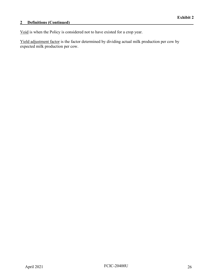## **2 Definitions (Continued)\_\_\_\_\_\_\_\_\_\_\_\_\_\_\_\_\_\_\_\_\_\_\_\_\_\_\_\_\_\_\_\_\_\_\_\_\_\_\_\_\_\_\_\_\_\_\_\_\_\_\_\_\_\_\_\_\_\_\_**

Void is when the Policy is considered not to have existed for a crop year.

Yield adjustment factor is the factor determined by dividing actual milk production per cow by expected milk production per cow.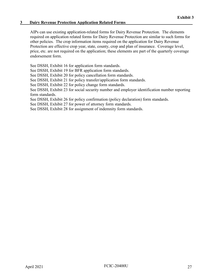#### <span id="page-32-0"></span>**3 Dairy Revenue Protection Application Related Forms\_\_\_\_\_\_\_\_\_\_\_\_\_\_\_\_\_\_\_\_\_\_\_\_\_\_\_\_\_\_\_\_**

AIPs can use existing application-related forms for Dairy Revenue Protection. The elements required on application related forms for Dairy Revenue Protection are similar to such forms for other policies. The crop information items required on the application for Dairy Revenue Protection are effective crop year, state, county, crop and plan of insurance. Coverage level, price, etc. are not required on the application; these elements are part of the quarterly coverage endorsement form.

See DSSH, Exhibit 16 for application form standards.

See DSSH, Exhibit 19 for BFR application form standards.

See DSSH, Exhibit 20 for policy cancellation form standards.

See DSSH, Exhibit 21 for policy transfer/application form standards.

See DSSH, Exhibit 22 for policy change form standards.

See DSSH, Exhibit 23 for social security number and employer identification number reporting form standards.

See DSSH, Exhibit 26 for policy confirmation (policy declaration) form standards.

See DSSH, Exhibit 27 for power of attorney form standards.

See DSSH, Exhibit 28 for assignment of indemnity form standards.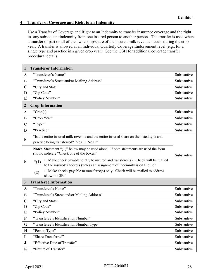#### <span id="page-33-0"></span>**4** Transfer of Coverage and Right to an Indemnity

Use a Transfer of Coverage and Right to an Indemnity to transfer insurance coverage and the right to any subsequent indemnity from one insured person to another person. The transfer is used when a transfer of part or all of the ownership/share of the insured milk revenue occurs during the crop year. A transfer is allowed at an individual Quarterly Coverage Endorsement level (e.g., for a single type and practice in a given crop year). See the GSH for additional coverage transfer procedural details.

| 1                | <b>Transferor Information</b>                                                                                                                                                   |             |
|------------------|---------------------------------------------------------------------------------------------------------------------------------------------------------------------------------|-------------|
| $\mathbf{A}$     | "Transferor's Name"                                                                                                                                                             | Substantive |
| $\bf{B}$         | "Transferor's Street and/or Mailing Address"                                                                                                                                    | Substantive |
| $\mathbf C$      | "City and State"                                                                                                                                                                | Substantive |
| D                | "Zip Code"                                                                                                                                                                      | Substantive |
| E                | "Policy Number"                                                                                                                                                                 | Substantive |
| $\boldsymbol{2}$ | <b>Crop Information</b>                                                                                                                                                         |             |
| $\mathbf{A}$     | "Crop(s)"                                                                                                                                                                       | Substantive |
| B                | "Crop Year"                                                                                                                                                                     | Substantive |
| $\mathbf C$      | "Type"                                                                                                                                                                          | Substantive |
| D                | "Practice"                                                                                                                                                                      | Substantive |
| E                | "Is the entire insured milk revenue and the entire insured share on the listed type and<br>practice being transferred? Yes $\Box$ No $\Box$ "                                   |             |
|                  | <b>Note:</b> Statement "(1)" below may be used alone. If both statements are used the form<br>should indicate "Check one of the boxes."                                         | Substantive |
| F                | $\Box$ Make check payable jointly to insured and transferee(s). Check will be mailed<br>$\lq(1)$<br>to the insured's address (unless an assignment of indemnity is on file); or |             |
|                  | $\Box$ Make checks payable to transferee(s) only. Check will be mailed to address<br>(2)<br>shown in 3B."                                                                       |             |
| $\mathbf{3}$     | <b>Transferee Information</b>                                                                                                                                                   |             |
| $\mathbf{A}$     | "Transferee's Name"                                                                                                                                                             | Substantive |
| B                | "Transferee's Street and/or Mailing Address"                                                                                                                                    | Substantive |
| $\mathbf C$      | "City and State"                                                                                                                                                                | Substantive |
| D                | "Zip Code"                                                                                                                                                                      | Substantive |
| E                | "Policy Number"                                                                                                                                                                 | Substantive |
| F                | "Transferee's Identification Number"                                                                                                                                            | Substantive |
| G                | "Transferee's Identification Number Type"                                                                                                                                       | Substantive |
| $\mathbf H$      | "Person Type"                                                                                                                                                                   | Substantive |
| $\mathbf I$      | "Share Transferred"                                                                                                                                                             | Substantive |
| ${\bf J}$        | "Effective Date of Transfer"                                                                                                                                                    | Substantive |
| K                | "Nature of Transfer"                                                                                                                                                            | Substantive |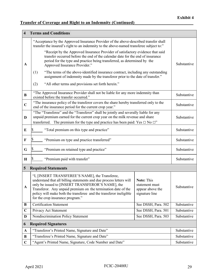# **Transfer of Coverage and Right to an Indemnity (Continued)**

| $\overline{\mathbf{4}}$ | <b>Terms and Conditions</b>                                                                                                                                                                                                                                                                                                                            |                                                                           |             |
|-------------------------|--------------------------------------------------------------------------------------------------------------------------------------------------------------------------------------------------------------------------------------------------------------------------------------------------------------------------------------------------------|---------------------------------------------------------------------------|-------------|
|                         | "Acceptance by the Approved Insurance Provider of the above-described transfer shall<br>transfer the insured's right to an indemnity to the above-named transferee subject to:"                                                                                                                                                                        |                                                                           |             |
| A                       | "Receipt by the Approved Insurance Provider of satisfactory evidence that said<br>transfer occurred before the end of the calendar date for the end of insurance<br>period for the type and practice being transferred, as determined by the<br>Approved Insurance Provider."                                                                          |                                                                           | Substantive |
|                         | "The terms of the above-identified insurance contract, including any outstanding<br>(1)<br>assignment of indemnity made by the transferor prior to the date of transfer."                                                                                                                                                                              |                                                                           |             |
|                         | "All other terms and provisions set forth herein."<br>(2)                                                                                                                                                                                                                                                                                              |                                                                           |             |
| $\bf{B}$                | "The Approved Insurance Provider shall not be liable for any more indemnity than<br>existed before the transfer occurred."                                                                                                                                                                                                                             |                                                                           | Substantive |
| $\mathbf C$             | "The insurance policy of the transferor covers the share hereby transferred only to the<br>end of the insurance period for the current crop year."                                                                                                                                                                                                     |                                                                           | Substantive |
| D                       | "The "Transferee" and the "Transferor" shall be jointly and severally liable for any<br>unpaid premium earned for the current crop year on the milk revenue and share<br>transferred. The premium for the type and practice has been paid: Yes $\Box$ No $\Box$ "                                                                                      |                                                                           | Substantive |
| E                       | "Total premium on this type and practice"                                                                                                                                                                                                                                                                                                              |                                                                           | Substantive |
| $\mathbf F$             | "Premium on type and practice transferred"                                                                                                                                                                                                                                                                                                             |                                                                           | Substantive |
| G                       | "Premium on retained type and practice"                                                                                                                                                                                                                                                                                                                |                                                                           | Substantive |
| $\bf H$                 | "Premium paid with transfer"                                                                                                                                                                                                                                                                                                                           |                                                                           | Substantive |
| 5                       | <b>Required Statements</b>                                                                                                                                                                                                                                                                                                                             |                                                                           |             |
| A                       | "I, [INSERT TRANSFEREE'S NAME], the Transferee,<br>understand that all billing statements and due process letters will<br>only be issued to [INSERT TRANSFEROR'S NAME], the<br>Transferor. Any unpaid premium on the termination date of the<br>policy will make both the transferee and the transferor ineligible<br>for the crop insurance program." | <b>Note: This</b><br>statement must<br>appear above the<br>signature line | Substantive |
| B                       | <b>Certification Statement</b>                                                                                                                                                                                                                                                                                                                         | See DSSH, Para. 502                                                       | Substantive |
| $\mathbf C$             | Privacy Act Statement                                                                                                                                                                                                                                                                                                                                  | See DSSH, Para. 501                                                       | Substantive |
| D                       | Nondiscrimination Policy Statement                                                                                                                                                                                                                                                                                                                     | See DSSH, Para. 503                                                       | Substantive |
| 6                       | <b>Required Signatures</b>                                                                                                                                                                                                                                                                                                                             |                                                                           |             |
| $\mathbf A$             | "Transferor's Printed Name, Signature and Date"                                                                                                                                                                                                                                                                                                        |                                                                           | Substantive |
| B                       | "Transferee's Printed Name, Signature and Date"                                                                                                                                                                                                                                                                                                        |                                                                           | Substantive |
| $\mathbf C$             | "Agent's Printed Name, Signature, Code Number and Date"                                                                                                                                                                                                                                                                                                |                                                                           | Substantive |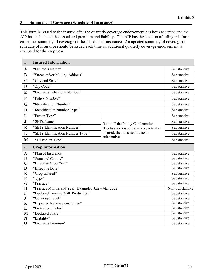#### <span id="page-35-0"></span>**5** Summary of Coverage (Schedule of Insurance)

This form is issued to the insured after the quarterly coverage endorsement has been accepted and the AIP has calculated the associated premium and liability. The AIP has the election of titling this form either the summary of coverage or the schedule of insurance. An updated summary of coverage or schedule of insurance should be issued each time an additional quarterly coverage endorsement is executed for the crop year.

| $\mathbf{1}$     | <b>Insured Information</b>                         |                                                                             |                 |
|------------------|----------------------------------------------------|-----------------------------------------------------------------------------|-----------------|
| $\mathbf{A}$     | "Insured's Name"                                   |                                                                             | Substantive     |
| B                | "Street and/or Mailing Address"                    |                                                                             | Substantive     |
| $\overline{C}$   | "City and State"                                   |                                                                             | Substantive     |
| D                | "Zip Code"                                         |                                                                             | Substantive     |
| E                | "Insured's Telephone Number"                       |                                                                             | Substantive     |
| $\mathbf{F}$     | "Policy Number"                                    |                                                                             | Substantive     |
| G                | "Identification Number"                            |                                                                             | Substantive     |
| H                | "Identification Number Type"                       |                                                                             | Substantive     |
| I                | "Person Type"                                      |                                                                             | Substantive     |
| ${\bf J}$        | "SBI's Name"                                       |                                                                             | Substantive     |
| $\mathbf K$      | "SBI's Identification Number"                      | Note: If the Policy Confirmation<br>(Declaration) is sent every year to the | Substantive     |
| L                | "SBI's Identification Number Type"                 | insured; then this item is non-                                             | Substantive     |
| M                |                                                    | substantive.                                                                | Substantive     |
|                  | "SBI Person Type"                                  |                                                                             |                 |
| $\boldsymbol{2}$ | <b>Crop Information</b>                            |                                                                             |                 |
|                  |                                                    |                                                                             |                 |
| $\mathbf A$      | "Plan of Insurance"                                |                                                                             | Substantive     |
| $\bf{B}$         | "State and County"                                 |                                                                             | Substantive     |
| $\overline{C}$   | "Effective Crop Year"                              |                                                                             | Substantive     |
| D                | "Effective Date"                                   |                                                                             | Substantive     |
| E                | "Crop Insured"                                     |                                                                             | Substantive     |
| $\mathbf F$      | "Type"                                             |                                                                             | Substantive     |
| G                | "Practice"                                         |                                                                             | Substantive     |
| $\mathbf H$      | "Practice Months and Year" Example: Jan - Mar 2022 |                                                                             | Non-Substantive |
| I                | "Declared Covered Milk Production"                 |                                                                             | Substantive     |
| ${\bf J}$        | "Coverage Level"                                   |                                                                             | Substantive     |
| $\mathbf K$      | "Expected Revenue Guarantee"                       |                                                                             | Substantive     |
| L                | "Protection Factor"                                |                                                                             | Substantive     |
| M                | "Declared Share"                                   |                                                                             | Substantive     |
| N                | "Liability"                                        |                                                                             | Substantive     |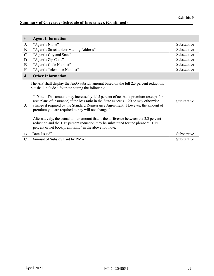# **<u>Summary of Coverage (Schedule of Insurance), (Continued)</u>**

| $\mathbf{3}$            | <b>Agent Information</b>                                                                                                                                                                                                                                                                                                                                                                                                                                                                                                                                                                                                                                                                                |             |
|-------------------------|---------------------------------------------------------------------------------------------------------------------------------------------------------------------------------------------------------------------------------------------------------------------------------------------------------------------------------------------------------------------------------------------------------------------------------------------------------------------------------------------------------------------------------------------------------------------------------------------------------------------------------------------------------------------------------------------------------|-------------|
| A                       | "Agent's Name"                                                                                                                                                                                                                                                                                                                                                                                                                                                                                                                                                                                                                                                                                          | Substantive |
| $\bf{B}$                | "Agent's Street and/or Mailing Address"                                                                                                                                                                                                                                                                                                                                                                                                                                                                                                                                                                                                                                                                 | Substantive |
| $\mathbf C$             | "Agent's City and State"                                                                                                                                                                                                                                                                                                                                                                                                                                                                                                                                                                                                                                                                                | Substantive |
| D                       | "Agent's Zip Code"                                                                                                                                                                                                                                                                                                                                                                                                                                                                                                                                                                                                                                                                                      | Substantive |
| ${\bf E}$               | "Agent's Code Number"                                                                                                                                                                                                                                                                                                                                                                                                                                                                                                                                                                                                                                                                                   | Substantive |
| $\mathbf F$             | "Agent's Telephone Number"                                                                                                                                                                                                                                                                                                                                                                                                                                                                                                                                                                                                                                                                              | Substantive |
| $\overline{\mathbf{4}}$ | <b>Other Information</b>                                                                                                                                                                                                                                                                                                                                                                                                                                                                                                                                                                                                                                                                                |             |
| $\mathbf{A}$            | The AIP shall display the A&O subsidy amount based on the full 2.3 percent reduction,<br>but shall include a footnote stating the following:<br>"*Note: This amount may increase by 1.15 percent of net book premium (except for<br>area plans of insurance) if the loss ratio in the State exceeds 1.20 or may otherwise<br>change if required by the Standard Reinsurance Agreement. However, the amount of<br>premium you are required to pay will not change."<br>Alternatively, the actual dollar amount that is the difference between the 2.3 percent<br>reduction and the 1.15 percent reduction may be substituted for the phrase "1.15<br>percent of net book premium" in the above footnote. | Substantive |
| B                       | "Date Issued"                                                                                                                                                                                                                                                                                                                                                                                                                                                                                                                                                                                                                                                                                           | Substantive |
| C                       | "Amount of Subsidy Paid by RMA"                                                                                                                                                                                                                                                                                                                                                                                                                                                                                                                                                                                                                                                                         | Substantive |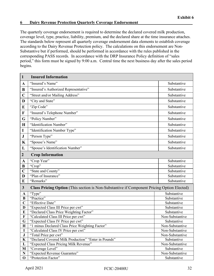#### <span id="page-37-0"></span>**6 Dairy Revenue Protection Quarterly Coverage Endorsement**

The quarterly coverage endorsement is required to determine the declared covered milk production, coverage level, type, practice, liability, premium, and the declared share at the time insurance attaches. The standards below represent all quarterly coverage endorsement data elements to establish coverage according to the Dairy Revenue Protection policy. The calculations on this endorsement are Non-Substantive but if performed, should be performed in accordance with the rules published in the corresponding PASS records. In accordance with the DRP Insurance Policy definition of "sales period," this form must be signed by 9:00 a.m. Central time the next business day after the sales period begins.

| $\mathbf{1}$     | <b>Insured Information</b>                                                                        |                                |
|------------------|---------------------------------------------------------------------------------------------------|--------------------------------|
| A                | "Insured's Name"                                                                                  | Substantive                    |
| B                | "Insured's Authorized Representative"                                                             | Substantive                    |
| $\mathbf C$      | "Street and/or Mailing Address"                                                                   | Substantive                    |
| D                | "City and State"                                                                                  | Substantive                    |
| E                | "Zip Code"                                                                                        | Substantive                    |
| $\mathbf F$      | "Insured's Telephone Number"                                                                      | Substantive                    |
| G                | "Policy Number"                                                                                   | Substantive                    |
| H                | "Identification Number"                                                                           | Substantive                    |
| 1                | "Identification Number Type"                                                                      | Substantive                    |
| $\mathbf J$      | "Person Type"                                                                                     | Substantive                    |
| $\mathbf K$      | "Spouse's Name"                                                                                   | Substantive                    |
| L                | "Spouse's Identification Number"                                                                  | Substantive                    |
| $\overline{2}$   | <b>Crop Information</b>                                                                           |                                |
|                  | "Crop Year"                                                                                       | Substantive                    |
| $\mathbf A$<br>B | "Crop"                                                                                            | Substantive                    |
| $\mathbf C$      | "State and County"                                                                                | Substantive                    |
| D                | "Plan of Insurance"                                                                               | Substantive                    |
| E                | "Remarks"                                                                                         | Substantive                    |
|                  |                                                                                                   |                                |
| $\mathbf{3}$     | <b>Class Pricing Option</b> (This section is Non-Substantive if Component Pricing Option Elected) |                                |
| A                | "Type"                                                                                            | Substantive                    |
| $\bf{B}$         | "Practice"                                                                                        | Substantive                    |
| $\overline{C}$   | "Effective Date"                                                                                  | Substantive                    |
| D                | "Expected Class III Price per cwt"                                                                | Substantive                    |
| E                | "Declared Class Price Weighting Factor"                                                           | Substantive                    |
| F                | "Calculated Class III Price per cwt"                                                              | Non-Substantive                |
| G                | "Expected Class IV Price per cwt"                                                                 | Substantive                    |
| $\bf H$          | "1 minus Declared Class Price Weighting Factor"                                                   | Non-Substantive                |
| $\mathbf I$      | "Calculated Class IV Price per cwt"                                                               | Non-Substantive                |
| ${\bf J}$        | "Total Price per cwt"<br>"Declared Covered Milk Production" "Enter in Pounds"                     | Non-Substantive                |
| $\mathbf K$      | "Expected Class Pricing Milk Revenue"                                                             | Substantive<br>Non-Substantive |
| L<br>M           | "Coverage Level"                                                                                  | Substantive                    |
| ${\bf N}$        | "Expected Revenue Guarantee"                                                                      | Non-Substantive                |
| $\mathbf 0$      | "Protection Factor"                                                                               | Substantive                    |
|                  |                                                                                                   |                                |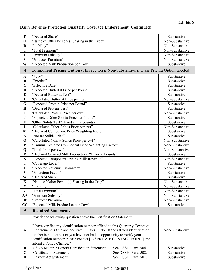# **Dairy Revenue Protection Quarterly Coverage Endorsement (Continued)\_\_\_\_\_\_\_\_\_\_\_\_\_\_\_\_\_\_\_\_**

| ${\bf P}$               | "Declared Share"                                                                                                                                |                      | Substantive     |
|-------------------------|-------------------------------------------------------------------------------------------------------------------------------------------------|----------------------|-----------------|
| Q                       | "Name of Other Person(s) Sharing in the Crop"                                                                                                   |                      | Non-Substantive |
| $\bf R$                 | "Liability"                                                                                                                                     |                      | Non-Substantive |
| T                       | "Total Premium"                                                                                                                                 |                      | Non-Substantive |
| $\mathbf{U}$            | "Premium Subsidy"                                                                                                                               |                      | Non-Substantive |
| $\mathbf{V}$            | "Producer Premium"                                                                                                                              |                      | Non-Substantive |
| W                       | "Expected Milk Production per Cow"                                                                                                              |                      | Substantive     |
| $\overline{\mathbf{4}}$ | <b>Component Pricing Option</b> (This section is Non-Substantive if Class Pricing Option Elected)                                               |                      |                 |
| $\mathbf A$             | "Type"                                                                                                                                          |                      | Substantive     |
| B                       | "Practice"                                                                                                                                      |                      | Substantive     |
| $\overline{C}$          | "Effective Date"                                                                                                                                |                      | Substantive     |
| D                       | "Expected Butterfat Price per Pound"                                                                                                            |                      | Substantive     |
| E                       | "Declared Butterfat Test"                                                                                                                       |                      | Substantive     |
| F                       | "Calculated Butterfat Price per cwt"                                                                                                            |                      | Non-Substantive |
| G                       | "Expected Protein Price per Pound"                                                                                                              |                      | Substantive     |
| $\mathbf H$             | "Declared Protein Test"                                                                                                                         |                      | Substantive     |
| I                       | "Calculated Protein Price per cwt"                                                                                                              |                      | Non-Substantive |
| ${\bf J}$               | "Expected Other Solids Price per Pound"                                                                                                         |                      | Substantive     |
| K                       | "Other Solids Test" (fixed at 5.7 pounds)                                                                                                       |                      | Substantive     |
| L                       | "Calculated Other Solids Price per cwt"                                                                                                         |                      | Non-Substantive |
| M                       | "Declared Component Price Weighting Factor"                                                                                                     |                      | Substantive     |
| ${\bf N}$               | "Nonfat Solids Price"                                                                                                                           |                      | Substantive     |
| $\mathbf 0$             | "Calculated Nonfat Solids Price per cwt"                                                                                                        |                      | Non-Substantive |
| $\mathbf{P}$            | "1 minus Declared Component Price Weighting Factor"                                                                                             |                      | Non-Substantive |
| Q                       | "Total Price per cwt"                                                                                                                           |                      | Non-Substantive |
| $\bf R$                 | "Declared Covered Milk Production" "Enter in Pounds"                                                                                            |                      | Substantive     |
| S                       | "Expected Component Pricing Milk Revenue"                                                                                                       |                      | Non-Substantive |
| T                       | "Coverage Level"                                                                                                                                |                      | Substantive     |
| $\mathbf U$             | "Expected Revenue Guarantee"                                                                                                                    |                      | Non-Substantive |
| $\mathbf{V}$            | "Protection Factor"                                                                                                                             |                      | Substantive     |
| W                       | "Declared Share"                                                                                                                                |                      | Substantive     |
| $\mathbf X$             | "Name of Other Person(s) Sharing in the Crop"                                                                                                   |                      | Non-Substantive |
| $\mathbf{Y}$            | "Liability"                                                                                                                                     |                      | Non-Substantive |
| Z                       | "Total Premium"                                                                                                                                 |                      | Non-Substantive |
| AA                      | "Premium Subsidy"                                                                                                                               |                      | Non-Substantive |
| <b>BB</b>               | "Producer Premium"                                                                                                                              |                      | Non-Substantive |
| CC                      | "Expected Milk Production per Cow"                                                                                                              |                      | Substantive     |
| $5\phantom{.0}$         | <b>Required Statements</b>                                                                                                                      |                      |                 |
|                         | Provide the following question above the Certification Statement.                                                                               |                      |                 |
|                         | "I have verified my identification number affixed to this Quarterly Coverage                                                                    |                      |                 |
| $\mathbf{A}$            | Endorsement is true and accurate. $\Box$ Yes $\Box$ No. If the affixed identification                                                           |                      | Non-Substantive |
|                         |                                                                                                                                                 |                      |                 |
|                         | number is not correct or you have not had an opportunity to verify your<br>identification number, please contact [INSERT AIP CONTACT POINT] and |                      |                 |
|                         | submit a Policy Change."                                                                                                                        |                      |                 |
| B                       | <b>USDA Multiple Benefit Certification Statement</b>                                                                                            | See DSSH, Para. 504. | Substantive     |
| $\mathbf C$             | <b>Certification Statement</b>                                                                                                                  | See DSSH, Para. 502. | Substantive     |
| D                       | Privacy Act Statement                                                                                                                           | See DSSH, Para. 501. | Substantive     |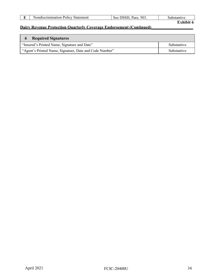|  | Statement<br>.on<br>'Ol1CV<br>Non.<br>◡<br>чна.<br>$\sim$ | $ -$<br>7۳۰،<br>al e | `!V⊾ |
|--|-----------------------------------------------------------|----------------------|------|
|--|-----------------------------------------------------------|----------------------|------|

# **Exhibit 6**

| <b>Required Signatures</b>                              |             |
|---------------------------------------------------------|-------------|
| "Insured's Printed Name, Signature and Date"            | Substantive |
| "Agent's Printed Name, Signature, Date and Code Number" | Substantive |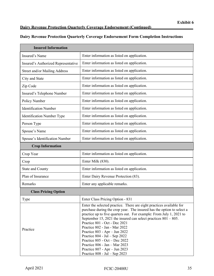## **Dairy Revenue Protection Quarterly Coverage Endorsement (Continued)\_\_\_\_\_\_\_\_\_\_\_\_\_\_\_\_\_\_\_\_**

#### **Dairy Revenue Protection Quarterly Coverage Endorsement Form Completion Instructions**

| <b>Insured Information</b>          |                                                                                                                                                                                                                                                                                                                                                                                                                                                                                                                                                                                        |  |  |
|-------------------------------------|----------------------------------------------------------------------------------------------------------------------------------------------------------------------------------------------------------------------------------------------------------------------------------------------------------------------------------------------------------------------------------------------------------------------------------------------------------------------------------------------------------------------------------------------------------------------------------------|--|--|
| Insured's Name                      | Enter information as listed on application.                                                                                                                                                                                                                                                                                                                                                                                                                                                                                                                                            |  |  |
| Insured's Authorized Representative | Enter information as listed on application.                                                                                                                                                                                                                                                                                                                                                                                                                                                                                                                                            |  |  |
| Street and/or Mailing Address       | Enter information as listed on application.                                                                                                                                                                                                                                                                                                                                                                                                                                                                                                                                            |  |  |
| City and State                      | Enter information as listed on application.                                                                                                                                                                                                                                                                                                                                                                                                                                                                                                                                            |  |  |
| Zip Code                            | Enter information as listed on application.                                                                                                                                                                                                                                                                                                                                                                                                                                                                                                                                            |  |  |
| Insured's Telephone Number          | Enter information as listed on application.                                                                                                                                                                                                                                                                                                                                                                                                                                                                                                                                            |  |  |
| Policy Number                       | Enter information as listed on application.                                                                                                                                                                                                                                                                                                                                                                                                                                                                                                                                            |  |  |
| <b>Identification Number</b>        | Enter information as listed on application.                                                                                                                                                                                                                                                                                                                                                                                                                                                                                                                                            |  |  |
| Identification Number Type          | Enter information as listed on application.                                                                                                                                                                                                                                                                                                                                                                                                                                                                                                                                            |  |  |
| Person Type                         | Enter information as listed on application.                                                                                                                                                                                                                                                                                                                                                                                                                                                                                                                                            |  |  |
| Spouse's Name                       | Enter information as listed on application.                                                                                                                                                                                                                                                                                                                                                                                                                                                                                                                                            |  |  |
| Spouse's Identification Number      | Enter information as listed on application.                                                                                                                                                                                                                                                                                                                                                                                                                                                                                                                                            |  |  |
| <b>Crop Information</b>             |                                                                                                                                                                                                                                                                                                                                                                                                                                                                                                                                                                                        |  |  |
| Crop Year                           | Enter information as listed on application.                                                                                                                                                                                                                                                                                                                                                                                                                                                                                                                                            |  |  |
| Crop                                | Enter Milk (830).                                                                                                                                                                                                                                                                                                                                                                                                                                                                                                                                                                      |  |  |
| <b>State and County</b>             | Enter information as listed on application.                                                                                                                                                                                                                                                                                                                                                                                                                                                                                                                                            |  |  |
| Plan of Insurance                   | Enter Dairy Revenue Protection (83).                                                                                                                                                                                                                                                                                                                                                                                                                                                                                                                                                   |  |  |
| Remarks                             | Enter any applicable remarks.                                                                                                                                                                                                                                                                                                                                                                                                                                                                                                                                                          |  |  |
| <b>Class Pricing Option</b>         |                                                                                                                                                                                                                                                                                                                                                                                                                                                                                                                                                                                        |  |  |
| Type                                | Enter Class Pricing Option - 831                                                                                                                                                                                                                                                                                                                                                                                                                                                                                                                                                       |  |  |
| Practice                            | Enter the selected practice. There are eight practices available for<br>purchase during the crop year. The insured has the option to select a<br>practice up to five quarters out. For example: From July 1, 2021 to<br>September 15, 2021 the insured can select practices $801 - 805$ .<br>Practice 801 - Oct - Dec 2021<br>Practice 802 - Jan - Mar 2022<br>Practice 803 - Apr - Jun 2022<br>Practice $804$ - Jul – Sep 2022<br>Practice 805 - Oct - Dec 2022<br>Practice 806 - Jan - Mar 2023<br>Practice $807 - Apr - Jun 2023$<br>Practice $808 - \text{Jul} - \text{Sep } 2023$ |  |  |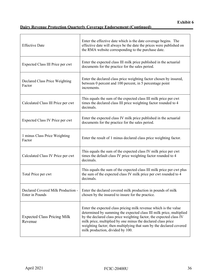| <b>Effective Date</b>                         | Enter the effective date which is the date coverage begins. The<br>effective date will always be the date the prices were published on<br>the RMA website corresponding to the purchase date.                                                                                                                                                                                             |
|-----------------------------------------------|-------------------------------------------------------------------------------------------------------------------------------------------------------------------------------------------------------------------------------------------------------------------------------------------------------------------------------------------------------------------------------------------|
| Expected Class III Price per cwt              | Enter the expected class III milk price published in the actuarial<br>documents for the practice for the sales period.                                                                                                                                                                                                                                                                    |
| Declared Class Price Weighting<br>Factor      | Enter the declared class price weighting factor chosen by insured,<br>between 0 percent and 100 percent, in 5 percentage point<br>increments.                                                                                                                                                                                                                                             |
| Calculated Class III Price per cwt            | This equals the sum of the expected class III milk price per cwt<br>times the declared class III price weighting factor rounded to 4<br>decimals.                                                                                                                                                                                                                                         |
| Expected Class IV Price per cwt               | Enter the expected class IV milk price published in the actuarial<br>documents for the practice for the sales period.                                                                                                                                                                                                                                                                     |
| 1 minus Class Price Weighting<br>Factor       | Enter the result of 1 minus declared class price weighting factor.                                                                                                                                                                                                                                                                                                                        |
| Calculated Class IV Price per cwt             | This equals the sum of the expected class IV milk price per cwt<br>times the default class IV price weighting factor rounded to 4<br>decimals.                                                                                                                                                                                                                                            |
| Total Price per cwt                           | This equals the sum of the expected class III milk price per cwt plus<br>the sum of the expected class IV milk price per cwt rounded to 4<br>decimals.                                                                                                                                                                                                                                    |
| Enter in Pounds                               | Declared Covered Milk Production -   Enter the declared covered milk production in pounds of milk<br>chosen by the insured to insure for the practice.                                                                                                                                                                                                                                    |
| <b>Expected Class Pricing Milk</b><br>Revenue | Enter the expected class pricing milk revenue which is the value<br>determined by summing the expected class III milk price, multiplied<br>by the declared class price weighting factor, the expected class IV<br>milk price, multiplied by one minus the declared class price<br>weighting factor; then multiplying that sum by the declared covered<br>milk production, divided by 100. |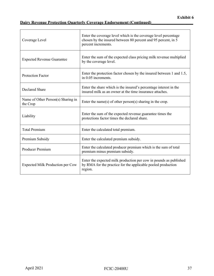# **Dairy Revenue Protection Quarterly Coverage Endorsement (Continued)\_\_\_\_\_\_\_\_\_\_\_\_\_\_\_\_\_\_\_\_**

| Coverage Level                                 | Enter the coverage level which is the coverage level percentage<br>chosen by the insured between 80 percent and 95 percent, in 5<br>percent increments. |
|------------------------------------------------|---------------------------------------------------------------------------------------------------------------------------------------------------------|
| <b>Expected Revenue Guarantee</b>              | Enter the sum of the expected class pricing milk revenue multiplied<br>by the coverage level.                                                           |
| <b>Protection Factor</b>                       | Enter the protection factor chosen by the insured between 1 and 1.5,<br>in 0.05 increments.                                                             |
| <b>Declared Share</b>                          | Enter the share which is the insured's percentage interest in the<br>insured milk as an owner at the time insurance attaches.                           |
| Name of Other Person(s) Sharing in<br>the Crop | Enter the name(s) of other person(s) sharing in the crop.                                                                                               |
| Liability                                      | Enter the sum of the expected revenue guarantee times the<br>protections factor times the declared share.                                               |
| <b>Total Premium</b>                           | Enter the calculated total premium.                                                                                                                     |
| Premium Subsidy                                | Enter the calculated premium subsidy.                                                                                                                   |
| <b>Producer Premium</b>                        | Enter the calculated producer premium which is the sum of total<br>premium minus premium subsidy.                                                       |
| Expected Milk Production per Cow               | Enter the expected milk production per cow in pounds as published<br>by RMA for the practice for the applicable pooled production<br>region.            |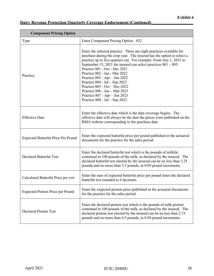| <b>Component Pricing Option</b>           |                                                                                                                                                                                                                                                                                                                                                                                                                                                                                                                                                                       |  |  |
|-------------------------------------------|-----------------------------------------------------------------------------------------------------------------------------------------------------------------------------------------------------------------------------------------------------------------------------------------------------------------------------------------------------------------------------------------------------------------------------------------------------------------------------------------------------------------------------------------------------------------------|--|--|
| Type                                      | Enter Component Pricing Option - 832                                                                                                                                                                                                                                                                                                                                                                                                                                                                                                                                  |  |  |
| Practice                                  | Enter the selected practice. There are eight practices available for<br>purchase during the crop year. The insured has the option to select a<br>practice up to five quarters out. For example: From July 1, 2021 to<br>September 15, 2021 the insured can select practices $801 - 805$ .<br>Practice 801 - Oct - Dec 2021<br>Practice 802 - Jan - Mar 2022<br>Practice 803 - Apr - Jun 2022<br>Practice $804$ - Jul - Sep 2022<br>Practice 805 - Oct - Dec 2022<br>Practice 806 - Jan - Mar 2023<br>Practice 807 - Apr - Jun 2023<br>Practice $808 - Jul - Sep$ 2023 |  |  |
| <b>Effective Date</b>                     | Enter the effective date which is the date coverage begins. The<br>effective date will always be the date the prices were published on the<br>RMA website corresponding to the purchase date.                                                                                                                                                                                                                                                                                                                                                                         |  |  |
| <b>Expected Butterfat Price Per Pound</b> | Enter the expected butterfat price per pound published in the actuarial<br>documents for the practice for the sales period.                                                                                                                                                                                                                                                                                                                                                                                                                                           |  |  |
| <b>Declared Butterfat Test</b>            | Enter the declared butterfat test which is the pounds of milkfat<br>contained in 100 pounds of the milk, as declared by the insured. The<br>declared butterfat test elected by the insured can be no less than 3.25<br>pounds and no more than 5.5 pounds, in 0.05-pound increments.                                                                                                                                                                                                                                                                                  |  |  |
| Calculated Butterfat Price per cwt        | Enter the sum of expected butterfat price per pound times the declared<br>butterfat test rounded to 4 decimals.                                                                                                                                                                                                                                                                                                                                                                                                                                                       |  |  |
| Expected Protein Price per Pound          | Enter the expected protein price published in the actuarial documents<br>for the practice for the sales period.                                                                                                                                                                                                                                                                                                                                                                                                                                                       |  |  |
| <b>Declared Protein Test</b>              | Enter the declared protein test which is the pounds of milk protein<br>contained in 100 pounds of the milk, as declared by the insured. The<br>declared protein test elected by the insured can be no less than 2.75<br>pounds and no more than 4.5 pounds, in 0.05-pound increments.                                                                                                                                                                                                                                                                                 |  |  |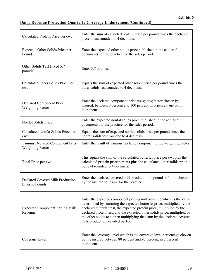| Calculated Protein Price per cwt                            | Enter the sum of expected protein price per pound times the declared<br>protein test rounded to 4 decimals.                                                                                                                                                                                                                                                                                                          |
|-------------------------------------------------------------|----------------------------------------------------------------------------------------------------------------------------------------------------------------------------------------------------------------------------------------------------------------------------------------------------------------------------------------------------------------------------------------------------------------------|
| Expected Other Solids Price per<br>Pound                    | Enter the expected other solids price published in the actuarial<br>documents for the practice for the sales period.                                                                                                                                                                                                                                                                                                 |
| Other Solids Test (fixed 5.7)<br>pounds)                    | Enter 5.7 pounds.                                                                                                                                                                                                                                                                                                                                                                                                    |
| Calculated Other Solids Price per<br>cwt                    | Equals the sum of expected other solids price per pound times the<br>other solids test rounded to 4 decimals.                                                                                                                                                                                                                                                                                                        |
| Declared Component Price<br><b>Weighting Factor</b>         | Enter the declared component price weighting factor chosen by<br>insured, between 0 percent and 100 percent, in 5 percentage point<br>increments.                                                                                                                                                                                                                                                                    |
| Nonfat Solids Price                                         | Enter the expected nonfat solids price published in the actuarial<br>documents for the practice for the sales period.                                                                                                                                                                                                                                                                                                |
| Calculated Nonfat Solids Price per<br>cwt                   | Equals the sum of expected nonfat solids price per pound times the<br>nonfat solids test rounded to 4 decimals.                                                                                                                                                                                                                                                                                                      |
| 1 minus Declared Component Price<br><b>Weighting Factor</b> | Enter the result of 1 minus declared component price weighting factor.                                                                                                                                                                                                                                                                                                                                               |
| Total Price per cwt                                         | This equals the sum of the calculated butterfat price per cwt plus the<br>calculated protein price per cwt plus the calculated other solids price<br>per cwt rounded to 4 decimals.                                                                                                                                                                                                                                  |
| Declared Covered Milk Production -<br>Enter in Pounds       | Enter the declared covered milk production in pounds of milk chosen<br>by the insured to insure for the practice.                                                                                                                                                                                                                                                                                                    |
| <b>Expected Component Pricing Milk</b><br>Revenue           | Enter the expected component pricing milk revenue which is the value<br>determined by summing the expected butterfat price, multiplied by the<br>declared butterfat test, the expected protein price, multiplied by the<br>declared protein test, and the expected other solids price, multiplied by<br>the other solids test; then multiplying that sum by the declared covered<br>milk production, divided by 100. |
| Coverage Level                                              | Enter the coverage level which is the coverage level percentage chosen<br>by the insured between 80 percent and 95 percent, in 5 percent<br>increments.                                                                                                                                                                                                                                                              |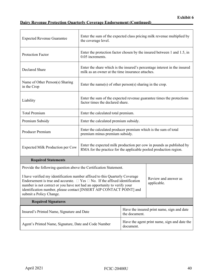| <b>Expected Revenue Guarantee</b>                                                                                                                                                                                                                                                                                                                                                         | Enter the sum of the expected class pricing milk revenue multiplied by<br>the coverage level.                                             |                                                             |                                                                           |
|-------------------------------------------------------------------------------------------------------------------------------------------------------------------------------------------------------------------------------------------------------------------------------------------------------------------------------------------------------------------------------------------|-------------------------------------------------------------------------------------------------------------------------------------------|-------------------------------------------------------------|---------------------------------------------------------------------------|
| Protection Factor                                                                                                                                                                                                                                                                                                                                                                         | 0.05 increments.                                                                                                                          |                                                             | Enter the protection factor chosen by the insured between 1 and 1.5, in   |
| Declared Share                                                                                                                                                                                                                                                                                                                                                                            | milk as an owner at the time insurance attaches.                                                                                          |                                                             | Enter the share which is the insured's percentage interest in the insured |
| Name of Other Person(s) Sharing<br>in the Crop                                                                                                                                                                                                                                                                                                                                            | Enter the name(s) of other person(s) sharing in the crop.                                                                                 |                                                             |                                                                           |
| Liability                                                                                                                                                                                                                                                                                                                                                                                 | Enter the sum of the expected revenue guarantee times the protections<br>factor times the declared share.                                 |                                                             |                                                                           |
| <b>Total Premium</b>                                                                                                                                                                                                                                                                                                                                                                      | Enter the calculated total premium.                                                                                                       |                                                             |                                                                           |
| Premium Subsidy                                                                                                                                                                                                                                                                                                                                                                           | Enter the calculated premium subsidy.                                                                                                     |                                                             |                                                                           |
| Producer Premium                                                                                                                                                                                                                                                                                                                                                                          | Enter the calculated producer premium which is the sum of total<br>premium minus premium subsidy.                                         |                                                             |                                                                           |
| <b>Expected Milk Production per Cow</b>                                                                                                                                                                                                                                                                                                                                                   | Enter the expected milk production per cow in pounds as published by<br>RMA for the practice for the applicable pooled production region. |                                                             |                                                                           |
| <b>Required Statements</b>                                                                                                                                                                                                                                                                                                                                                                |                                                                                                                                           |                                                             |                                                                           |
| Provide the following question above the Certification Statement.                                                                                                                                                                                                                                                                                                                         |                                                                                                                                           |                                                             |                                                                           |
| I have verified my identification number affixed to this Quarterly Coverage<br>Review and answer as<br>Endorsement is true and accurate. $\Box$ Yes $\Box$ No. If the affixed identification<br>applicable.<br>number is not correct or you have not had an opportunity to verify your<br>identification number, please contact [INSERT AIP CONTACT POINT] and<br>submit a Policy Change. |                                                                                                                                           |                                                             |                                                                           |
| <b>Required Signatures</b>                                                                                                                                                                                                                                                                                                                                                                |                                                                                                                                           |                                                             |                                                                           |
| Insured's Printed Name, Signature and Date                                                                                                                                                                                                                                                                                                                                                |                                                                                                                                           | Have the insured print name, sign and date<br>the document. |                                                                           |
| Agent's Printed Name, Signature, Date and Code Number                                                                                                                                                                                                                                                                                                                                     |                                                                                                                                           | Have the agent print name, sign and date the<br>document.   |                                                                           |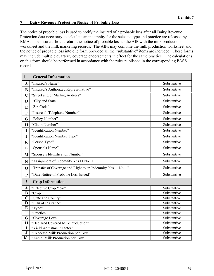#### <span id="page-46-0"></span>**7 Dairy Revenue Protection Notice of Probable Loss\_\_\_\_\_\_\_\_\_\_\_\_\_\_\_\_\_\_\_\_\_\_\_\_\_\_\_\_\_\_\_\_\_\_\_**

The notice of probable loss is used to notify the insured of a probable loss after all Dairy Revenue Protection data necessary to calculate an indemnity for the selected type and practice are released by RMA. The insured should return the notice of probable loss to the AIP with the milk production worksheet and the milk marketing records. The AIPs may combine the milk production worksheet and the notice of probable loss into one form provided all the "substantive" items are included. These forms may include multiple quarterly coverage endorsements in effect for the same practice. The calculations on this form should be performed in accordance with the rules published in the corresponding PASS records.

| $\mathbf{1}$            | <b>General Information</b>                                             |             |
|-------------------------|------------------------------------------------------------------------|-------------|
| $\mathbf A$             | "Insured's Name"                                                       | Substantive |
| B                       | "Insured's Authorized Representative"                                  | Substantive |
| $\mathbf C$             | "Street and/or Mailing Address"                                        | Substantive |
| D                       | "City and State"                                                       | Substantive |
| E                       | "Zip Code"                                                             | Substantive |
| F                       | "Insured's Telephone Number"                                           | Substantive |
| G                       | "Policy Number"                                                        | Substantive |
| $\mathbf H$             | "Claim Number"                                                         | Substantive |
| $\mathbf I$             | "Identification Number"                                                | Substantive |
| ${\bf J}$               | "Identification Number Type"                                           | Substantive |
| K                       | "Person Type"                                                          | Substantive |
| L                       | "Spouse's Name"                                                        | Substantive |
| M                       | "Spouse's Identification Number"                                       | Substantive |
| N                       | "Assignment of Indemnity Yes $\Box$ No $\Box$ "                        | Substantive |
| $\mathbf 0$             | "Transfer of Coverage and Right to an Indemnity Yes $\Box$ No $\Box$ " | Substantive |
| $\mathbf{P}$            | "Date Notice of Probable Loss Issued"                                  | Substantive |
| $\overline{2}$          | <b>Crop Information</b>                                                |             |
| $\overline{\mathbf{A}}$ | "Effective Crop Year"                                                  | Substantive |
| $\bf{B}$                | "Crop"                                                                 | Substantive |
| $\overline{C}$          | "State and County"                                                     | Substantive |
| D                       | "Plan of Insurance"                                                    | Substantive |
| E                       | "Type"                                                                 | Substantive |
| F                       | "Practice"                                                             | Substantive |
| G                       | "Coverage Level"                                                       | Substantive |
| $\mathbf H$             | "Declared Covered Milk Production"                                     | Substantive |
| I                       | "Yield Adjustment Factor"                                              | Substantive |
| ${\bf J}$               | "Expected Milk Production per Cow"                                     | Substantive |
| $\mathbf K$             | "Actual Milk Production per Cow"                                       | Substantive |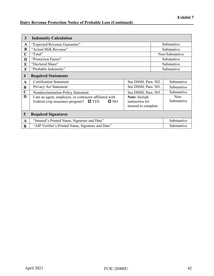# **Dairy Revenue Protection Notice of Probable Loss (Continued)**

| $\overline{3}$          | <b>Indemnity Calculation</b>                                                                                                                                                                       |                      |                     |                 |
|-------------------------|----------------------------------------------------------------------------------------------------------------------------------------------------------------------------------------------------|----------------------|---------------------|-----------------|
| A                       | "Expected Revenue Guarantee"                                                                                                                                                                       |                      |                     | Substantive     |
| B                       | "Actual Milk Revenue"                                                                                                                                                                              |                      |                     | Substantive     |
| $\mathbf C$             | "Total"                                                                                                                                                                                            |                      |                     | Non-Substantive |
| D                       | "Protection Factor"                                                                                                                                                                                |                      |                     | Substantive     |
| E                       | "Declared Share"                                                                                                                                                                                   |                      |                     | Substantive     |
| F                       | "Probable Indemnity"                                                                                                                                                                               |                      |                     | Substantive     |
| $\overline{\mathbf{4}}$ | <b>Required Statements</b>                                                                                                                                                                         |                      |                     |                 |
| $\mathbf{A}$            | <b>Certification Statement</b>                                                                                                                                                                     | See DSSH, Para. 502. |                     | Substantive     |
| B                       | See DSSH, Para. 501.<br>Privacy Act Statement                                                                                                                                                      |                      | Substantive         |                 |
| $\mathbf C$             | Nondiscrimination Policy Statement                                                                                                                                                                 | See DSSH, Para. 503. |                     | Substantive     |
| D                       | <b>Note:</b> Include<br>I am an agent, employee, or contractor affiliated with<br>Federal crop insurance program?<br>$\square$ NO<br>instruction for<br>$\blacksquare$ YES<br>insured to complete. |                      | Non-<br>Substantive |                 |
| 5                       | <b>Required Signatures</b>                                                                                                                                                                         |                      |                     |                 |
| $\mathbf A$             | "Insured's Printed Name, Signature and Date"                                                                                                                                                       |                      |                     | Substantive     |
| B                       | "AIP Verifier's Printed Name, Signature and Date"                                                                                                                                                  |                      |                     | Substantive     |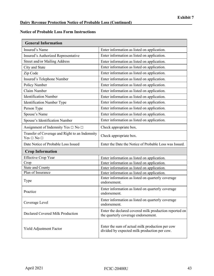## **Notice of Probable Loss Form Instructions**

| <b>General Information</b>                                           |                                                                                                 |
|----------------------------------------------------------------------|-------------------------------------------------------------------------------------------------|
| Insured's Name                                                       | Enter information as listed on application.                                                     |
| Insured's Authorized Representative                                  | Enter information as listed on application.                                                     |
| Street and/or Mailing Address                                        | Enter information as listed on application.                                                     |
| City and State                                                       | Enter information as listed on application.                                                     |
| Zip Code                                                             | Enter information as listed on application.                                                     |
| Insured's Telephone Number                                           | Enter information as listed on application.                                                     |
| Policy Number                                                        | Enter information as listed on application.                                                     |
| Claim Number                                                         | Enter information as listed on application.                                                     |
| <b>Identification Number</b>                                         | Enter information as listed on application.                                                     |
| <b>Identification Number Type</b>                                    | Enter information as listed on application.                                                     |
| Person Type                                                          | Enter information as listed on application.                                                     |
| Spouse's Name                                                        | Enter information as listed on application.                                                     |
| Spouse's Identification Number                                       | Enter information as listed on application.                                                     |
| Assignment of Indemnity Yes $\Box$ No $\Box$                         | Check appropriate box.                                                                          |
| Transfer of Coverage and Right to an Indemnity<br>$Yes \Box No \Box$ | Check appropriate box.                                                                          |
| Date Notice of Probable Loss Issued                                  | Enter the Date the Notice of Probable Loss was Issued.                                          |
| <b>Crop Information</b>                                              |                                                                                                 |
| <b>Effective Crop Year</b>                                           | Enter information as listed on application.                                                     |
| Crop                                                                 | Enter information as listed on application.                                                     |
| <b>State and County</b>                                              | Enter information as listed on application.                                                     |
| Plan of Insurance                                                    | Enter information as listed on application.                                                     |
| Type                                                                 | Enter information as listed on quarterly coverage<br>endorsement.                               |
| Practice                                                             | Enter information as listed on quarterly coverage<br>endorsement.                               |
| Coverage Level                                                       | Enter information as listed on quarterly coverage<br>endorsement.                               |
| Declared Covered Milk Production                                     | Enter the declared covered milk production reported on<br>the quarterly coverage endorsement.   |
| Yield Adjustment Factor                                              | Enter the sum of actual milk production per cow<br>divided by expected milk production per cow. |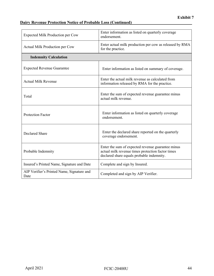# **Dairy Revenue Protection Notice of Probable Loss (Continued)\_\_\_\_\_\_\_\_\_\_\_\_\_\_\_\_\_\_\_\_\_\_\_\_\_\_\_\_\_**

| Expected Milk Production per Cow                   | Enter information as listed on quarterly coverage<br>endorsement.                                                                                   |
|----------------------------------------------------|-----------------------------------------------------------------------------------------------------------------------------------------------------|
| Actual Milk Production per Cow                     | Enter actual milk production per cow as released by RMA<br>for the practice.                                                                        |
| <b>Indemnity Calculation</b>                       |                                                                                                                                                     |
| <b>Expected Revenue Guarantee</b>                  | Enter information as listed on summary of coverage.                                                                                                 |
| <b>Actual Milk Revenue</b>                         | Enter the actual milk revenue as calculated from<br>information released by RMA for the practice.                                                   |
| Total                                              | Enter the sum of expected revenue guarantee minus<br>actual milk revenue.                                                                           |
| <b>Protection Factor</b>                           | Enter information as listed on quarterly coverage<br>endorsement.                                                                                   |
| <b>Declared Share</b>                              | Enter the declared share reported on the quarterly<br>coverage endorsement.                                                                         |
| Probable Indemnity                                 | Enter the sum of expected revenue guarantee minus<br>actual milk revenue times protection factor times<br>declared share equals probable indemnity. |
| Insured's Printed Name, Signature and Date         | Complete and sign by Insured.                                                                                                                       |
| AIP Verifier's Printed Name, Signature and<br>Date | Completed and sign by AIP Verifier.                                                                                                                 |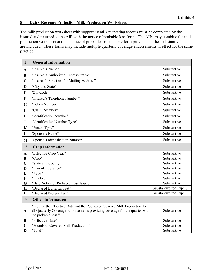#### <span id="page-50-0"></span>**8 Dairy Revenue Protection Milk Production Worksheet\_\_\_\_\_\_\_\_\_\_\_\_\_\_\_\_\_\_\_\_\_\_\_\_\_\_\_\_\_\_\_\_**

The milk production worksheet with supporting milk marketing records must be completed by the insured and returned to the AIP with the notice of probable loss form. The AIPs may combine the milk production worksheet and the notice of probable loss into one form provided all the "substantive" items are included. These forms may include multiple quarterly coverage endorsements in effect for the same practice.

| $\mathbf{1}$            | <b>General Information</b>                                                                                                                                                      |                          |
|-------------------------|---------------------------------------------------------------------------------------------------------------------------------------------------------------------------------|--------------------------|
| $\mathbf{A}$            | "Insured's Name"                                                                                                                                                                | Substantive              |
| $\bf{B}$                | "Insured's Authorized Representative"                                                                                                                                           | Substantive              |
| $\mathbf C$             | "Insured's Street and/or Mailing Address"                                                                                                                                       | Substantive              |
| D                       | "City and State"                                                                                                                                                                | Substantive              |
| E                       | "Zip Code"                                                                                                                                                                      | Substantive              |
| $\mathbf{F}$            | "Insured's Telephone Number"                                                                                                                                                    | Substantive              |
| G                       | "Policy Number"                                                                                                                                                                 | Substantive              |
| $\mathbf H$             | "Claim Number"                                                                                                                                                                  | Substantive              |
| $\mathbf I$             | "Identification Number"                                                                                                                                                         | Substantive              |
| ${\bf J}$               | "Identification Number Type"                                                                                                                                                    | Substantive              |
| $\mathbf K$             | "Person Type"                                                                                                                                                                   | Substantive              |
| L                       | "Spouse's Name"                                                                                                                                                                 | Substantive              |
| M                       | "Spouse's Identification Number"                                                                                                                                                | Substantive              |
| $\overline{2}$          | <b>Crop Information</b>                                                                                                                                                         |                          |
| $\mathbf A$             | "Effective Crop Year"                                                                                                                                                           | Substantive              |
| $\bf{B}$                | "Crop"                                                                                                                                                                          | Substantive              |
| $\overline{\mathbf{C}}$ | "State and County"                                                                                                                                                              | Substantive              |
| D                       | "Plan of Insurance"                                                                                                                                                             | Substantive              |
| E                       | "Type"                                                                                                                                                                          | Substantive              |
| $\mathbf{F}$            | "Practice"                                                                                                                                                                      | Substantive              |
| G                       | "Date Notice of Probable Loss Issued"                                                                                                                                           | Substantive              |
| $\mathbf H$             | "Declared Butterfat Test"                                                                                                                                                       | Substantive for Type 832 |
| $\mathbf I$             | "Declared Protein Test"                                                                                                                                                         | Substantive for Type 832 |
| $\overline{\mathbf{3}}$ | <b>Other Information</b>                                                                                                                                                        |                          |
| $\mathbf{A}$            | "Provide the Effective Date and the Pounds of Covered Milk Production for<br>all Quarterly Coverage Endorsements providing coverage for the quarter with<br>the probable loss." | Substantive              |
| B                       | "Effective Date"                                                                                                                                                                | Substantive              |
| $\mathbf C$             | "Pounds of Covered Milk Production"                                                                                                                                             | Substantive              |
| D                       | "Total"                                                                                                                                                                         | Substantive              |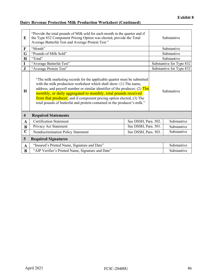# **Dairy Revenue Protection Milk Production Worksheet (Continued)**

| E                       | "Provide the total pounds of Milk sold for each month in the quarter and if<br>the Type 832 Component Pricing Option was elected, provide the Total<br>Average Butterfat Test and Average Protein Test."                                                                                                                                                                                                                                           |                      |             | Substantive              |
|-------------------------|----------------------------------------------------------------------------------------------------------------------------------------------------------------------------------------------------------------------------------------------------------------------------------------------------------------------------------------------------------------------------------------------------------------------------------------------------|----------------------|-------------|--------------------------|
| F                       | "Month"                                                                                                                                                                                                                                                                                                                                                                                                                                            |                      |             | Substantive              |
| G                       | "Pounds of Milk Sold"                                                                                                                                                                                                                                                                                                                                                                                                                              |                      |             | Substantive              |
| H                       | "Total"                                                                                                                                                                                                                                                                                                                                                                                                                                            |                      |             | Substantive              |
|                         | "Average Butterfat Test"                                                                                                                                                                                                                                                                                                                                                                                                                           |                      |             | Substantive for Type 832 |
| $\mathbf{J}$            | "Average Protein Test"                                                                                                                                                                                                                                                                                                                                                                                                                             |                      |             | Substantive for Type 832 |
| $\bf H$                 | "The milk marketing records for the applicable quarter must be submitted<br>with the milk production worksheet which shall show: (1) The name,<br>address, and payroll number or similar identifier of the producer; (2) The<br>monthly, or daily aggregated to monthly, total pounds received<br>from that producer; and if component pricing option elected, (3) The<br>total pounds of butterfat and protein contained in the producer's milk." |                      |             | Substantive              |
| $\overline{\mathbf{4}}$ | <b>Required Statements</b>                                                                                                                                                                                                                                                                                                                                                                                                                         |                      |             |                          |
| $\mathbf{A}$            | <b>Certification Statement</b>                                                                                                                                                                                                                                                                                                                                                                                                                     | See DSSH, Para. 502. |             | Substantive              |
| B                       | See DSSH, Para. 501.<br>Privacy Act Statement                                                                                                                                                                                                                                                                                                                                                                                                      |                      |             | Substantive              |
| $\mathbf C$             | Nondiscrimination Policy Statement<br>See DSSH, Para. 503.                                                                                                                                                                                                                                                                                                                                                                                         |                      | Substantive |                          |
| $5\phantom{.}$          | <b>Required Signatures</b>                                                                                                                                                                                                                                                                                                                                                                                                                         |                      |             |                          |
| $\mathbf{A}$            | "Insured's Printed Name, Signature and Date"                                                                                                                                                                                                                                                                                                                                                                                                       |                      |             | Substantive              |
| B                       | "AIP Verifier's Printed Name, Signature and Date"                                                                                                                                                                                                                                                                                                                                                                                                  |                      |             | Substantive              |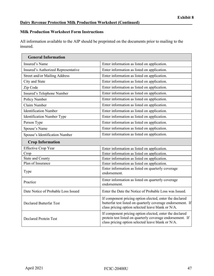## **Milk Production Worksheet Form Instructions**

All information available to the AIP should be preprinted on the documents prior to mailing to the insured.

| <b>General Information</b>          |                                                                                                                                                                             |  |
|-------------------------------------|-----------------------------------------------------------------------------------------------------------------------------------------------------------------------------|--|
| Insured's Name                      | Enter information as listed on application.                                                                                                                                 |  |
| Insured's Authorized Representative | Enter information as listed on application.                                                                                                                                 |  |
| Street and/or Mailing Address       | Enter information as listed on application.                                                                                                                                 |  |
| City and State                      | Enter information as listed on application.                                                                                                                                 |  |
| Zip Code                            | Enter information as listed on application.                                                                                                                                 |  |
| Insured's Telephone Number          | Enter information as listed on application.                                                                                                                                 |  |
| Policy Number                       | Enter information as listed on application.                                                                                                                                 |  |
| Claim Number                        | Enter information as listed on application.                                                                                                                                 |  |
| <b>Identification Number</b>        | Enter information as listed on application.                                                                                                                                 |  |
| <b>Identification Number Type</b>   | Enter information as listed on application.                                                                                                                                 |  |
| Person Type                         | Enter information as listed on application.                                                                                                                                 |  |
| Spouse's Name                       | Enter information as listed on application.                                                                                                                                 |  |
| Spouse's Identification Number      | Enter information as listed on application.                                                                                                                                 |  |
| <b>Crop Information</b>             |                                                                                                                                                                             |  |
| <b>Effective Crop Year</b>          | Enter information as listed on application.                                                                                                                                 |  |
| Crop                                | Enter information as listed on application.                                                                                                                                 |  |
| <b>State and County</b>             | Enter information as listed on application.                                                                                                                                 |  |
| Plan of Insurance                   | Enter information as listed on application.                                                                                                                                 |  |
| Type                                | Enter information as listed on quarterly coverage<br>endorsement.                                                                                                           |  |
| Practice                            | Enter information as listed on quarterly coverage<br>endorsement.                                                                                                           |  |
| Date Notice of Probable Loss Issued | Enter the Date the Notice of Probable Loss was Issued.                                                                                                                      |  |
| <b>Declared Butterfat Test</b>      | If component pricing option elected, enter the declared<br>butterfat test listed on quarterly coverage endorsement. If<br>class pricing option selected leave blank or N/A. |  |
| <b>Declared Protein Test</b>        | If component pricing option elected, enter the declared<br>protein test listed on quarterly coverage endorsement. If<br>class pricing option selected leave blank or N/A.   |  |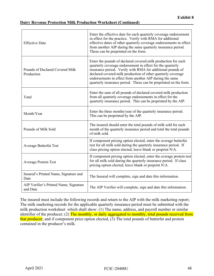#### **Dairy Revenue Protection Milk Production Worksheet (Continued)**

| <b>Effective Date</b>                              | Enter the effective date for each quarterly coverage endorsement<br>in effect for the practice. Verify with RMA for additional<br>effective dates of other quarterly coverage endorsements in effect<br>from another AIP during the same quarterly insurance period.<br>These can be preprinted on the form.                                                                             |
|----------------------------------------------------|------------------------------------------------------------------------------------------------------------------------------------------------------------------------------------------------------------------------------------------------------------------------------------------------------------------------------------------------------------------------------------------|
| Pounds of Declared Covered Milk<br>Production      | Enter the pounds of declared covered milk production for each<br>quarterly coverage endorsement in effect for the quarterly<br>insurance period. Verify with RMA for additional pounds of<br>declared covered milk production of other quarterly coverage<br>endorsements in effect from another AIP during the same<br>quarterly insurance period. These can be preprinted on the form. |
| Total                                              | Enter the sum of all pounds of declared covered milk production<br>from all quarterly coverage endorsements in effect for the<br>quarterly insurance period. This can be preprinted by the AIP.                                                                                                                                                                                          |
| Month/Year                                         | Enter the three months/year of the quarterly insurance period.<br>This can be preprinted by the AIP.                                                                                                                                                                                                                                                                                     |
| Pounds of Milk Sold                                | The insured should enter the total pounds of milk sold for each<br>month of the quarterly insurance period and total the total pounds<br>of milk sold.                                                                                                                                                                                                                                   |
| <b>Average Butterfat Test</b>                      | If component pricing option elected, enter the average butterfat<br>test for all milk sold during the quarterly insurance period. If<br>class pricing option elected, leave blank or preprint N/A.                                                                                                                                                                                       |
| <b>Average Protein Test</b>                        | If component pricing option elected, enter the average protein test<br>for all milk sold during the quarterly insurance period. If class<br>pricing option elected, leave blank or preprint N/A.                                                                                                                                                                                         |
| Insured's Printed Name, Signature and<br>Date      | The Insured will complete, sign and date this information.                                                                                                                                                                                                                                                                                                                               |
| AIP Verifier's Printed Name, Signature<br>and Date | The AIP Verifier will complete, sign and date this information.                                                                                                                                                                                                                                                                                                                          |

The insured must include the following records and return to the AIP with the milk marketing report; The milk marketing records for the applicable quarterly insurance period must be submitted with the milk production worksheet which shall show: (1) The name, address, and payroll number or similar identifier of the producer; (2) The monthly, or daily aggregated to monthly, total pounds received from that producer; and if component price option elected, (3) The total pounds of butterfat and protein contained in the producer's milk.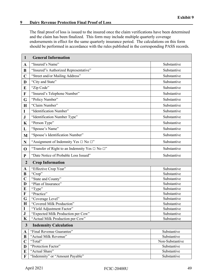#### <span id="page-54-0"></span>**9** Dairy Revenue Protection Final Proof of Loss

The final proof of loss is issued to the insured once the claim verifications have been determined and the claim has been finalized. This form may include multiple quarterly coverage endorsements in effect for the same quarterly insurance period. The calculations on this form should be performed in accordance with the rules published in the corresponding PASS records.

| $\mathbf{1}$                                 | <b>General Information</b>                                |                 |
|----------------------------------------------|-----------------------------------------------------------|-----------------|
| $\mathbf A$                                  | "Insured's Name"                                          | Substantive     |
| B                                            | "Insured"s Authorized Representative"                     | Substantive     |
| $\mathbf C$                                  | "Street and/or Mailing Address"                           | Substantive     |
| D                                            | "City and State"                                          | Substantive     |
| E                                            | "Zip Code"                                                | Substantive     |
| $\mathbf F$                                  | "Insured's Telephone Number"                              | Substantive     |
| G                                            | "Policy Number"                                           | Substantive     |
| $\mathbf H$                                  | "Claim Number"                                            | Substantive     |
| I                                            | "Identification Number"                                   | Substantive     |
| ${\bf J}$                                    | "Identification Number Type"                              | Substantive     |
| $\mathbf K$                                  | "Person Type"                                             | Substantive     |
| L                                            | "Spouse's Name"                                           | Substantive     |
| M                                            | "Spouse's Identification Number"                          | Substantive     |
| $\mathbf N$                                  | "Assignment of Indemnity Yes $\Box$ No $\Box$ "           | Substantive     |
| $\mathbf 0$                                  | "Transfer of Right to an Indemnity Yes $\Box$ No $\Box$ " | Substantive     |
| ${\bf P}$                                    | "Date Notice of Probable Loss Issued"                     | Substantive     |
| $\overline{2}$                               | <b>Crop Information</b>                                   |                 |
| $\mathbf{A}$                                 | "Effective Crop Year"                                     | Substantive     |
| $\bf{B}$                                     | "Crop"                                                    | Substantive     |
| $\mathbf C$                                  | "State and County"                                        | Substantive     |
| D                                            | "Plan of Insurance"                                       | Substantive     |
| E                                            | "Type"                                                    | Substantive     |
| $\mathbf F$                                  | "Practice"                                                | Substantive     |
| G                                            | "Coverage Level"                                          | Substantive     |
| $\mathbf H$                                  | "Covered Milk Production"                                 | Substantive     |
| $\mathbf I$                                  | "Yield Adjustment Factor"                                 | Substantive     |
| ${\bf J}$                                    | "Expected Milk Production per Cow"                        | Substantive     |
| $\mathbf K$                                  | "Actual Milk Production per Cow"                          | Substantive     |
| $\mathbf{3}$<br><b>Indemnity Calculation</b> |                                                           |                 |
| $\mathbf A$                                  | "Final Revenue Guarantee"                                 | Substantive     |
| B                                            | "Actual Milk Revenue"                                     | Substantive     |
| $\mathbf C$                                  | "Total"                                                   | Non-Substantive |
| D                                            | "Protection Factor"                                       | Substantive     |
| E                                            | "Actual Share"                                            | Substantive     |
| $\mathbf F$                                  | "Indemnity" or "Amount Payable"                           | Substantive     |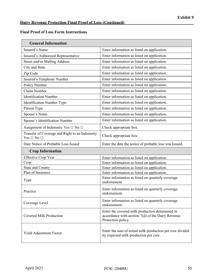## **Final Proof of Loss Form Instructions**

| <b>General Information</b>                                             |                                                                                                                              |
|------------------------------------------------------------------------|------------------------------------------------------------------------------------------------------------------------------|
| Insured's Name                                                         | Enter information as listed on application.                                                                                  |
| Insured's Authorized Representative                                    | Enter information as listed on application.                                                                                  |
| Street and/or Mailing Address                                          | Enter information as listed on application.                                                                                  |
| City and State                                                         | Enter information as listed on application.                                                                                  |
| Zip Code                                                               | Enter information as listed on application.                                                                                  |
| Insured's Telephone Number                                             | Enter information as listed on application.                                                                                  |
| Policy Number                                                          | Enter information as listed on application.                                                                                  |
| Claim Number                                                           | Enter information as listed on application.                                                                                  |
| <b>Identification Number</b>                                           | Enter information as listed on application.                                                                                  |
| <b>Identification Number Type</b>                                      | Enter information as listed on application.                                                                                  |
| Person Type                                                            | Enter information as listed on application.                                                                                  |
| Spouse's Name                                                          | Enter information as listed on application.                                                                                  |
| Spouse's Identification Number                                         | Enter information as listed on application.                                                                                  |
| Assignment of Indemnity Yes $\Box$ No $\Box$                           | Check appropriate box.                                                                                                       |
| Transfer of Coverage and Right to an Indemnity<br>Yes $\Box$ No $\Box$ | Check appropriate box.                                                                                                       |
| Date Notice of Probable Loss Issued                                    | Enter the date the notice of probable loss was Issued.                                                                       |
| <b>Crop Information</b>                                                |                                                                                                                              |
| <b>Effective Crop Year</b>                                             | Enter information as listed on application.                                                                                  |
| Crop                                                                   | Enter information as listed on application.                                                                                  |
| <b>State and County</b>                                                | Enter information as listed on application.                                                                                  |
| Plan of Insurance                                                      | Enter information as listed on application.                                                                                  |
| Type                                                                   | Enter information as listed on quarterly coverage<br>endorsement.                                                            |
| Practice                                                               | Enter information as listed on quarterly coverage<br>endorsement.                                                            |
| Coverage Level                                                         | Enter information as listed on quarterly coverage<br>endorsement.                                                            |
| <b>Covered Milk Production</b>                                         | Enter the covered milk production determined in<br>accordance with section $7(d)$ of the Dairy Revenue<br>Protection policy. |
| Yield Adjustment Factor                                                | Enter the sum of actual milk production per cow divided<br>by expected milk production per cow.                              |